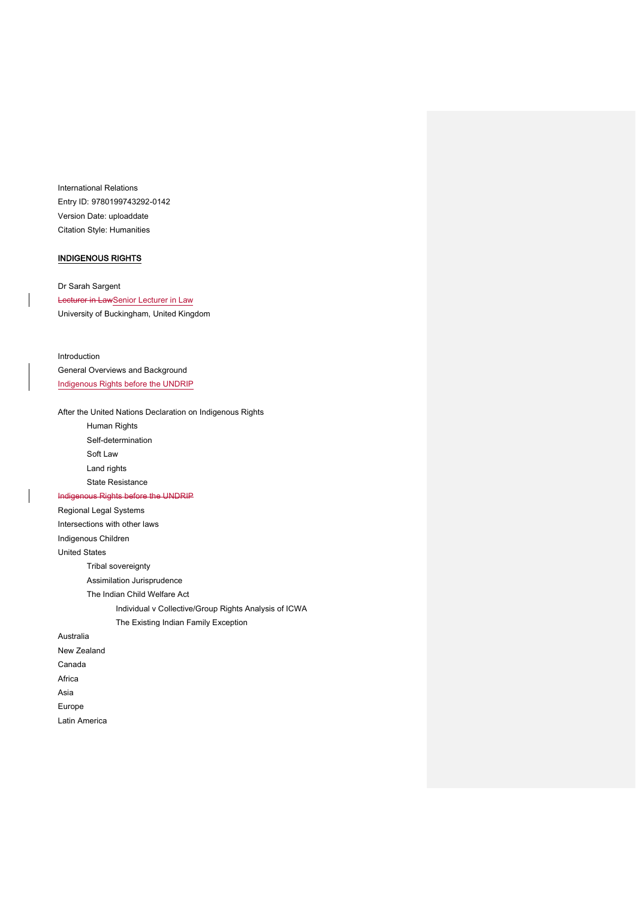International Relations Entry ID: 9780199743292-0142 Version Date: uploaddate Citation Style: Humanities

# INDIGENOUS RIGHTS

Dr Sarah Sargent Lecturer in LawSenior Lecturer in Law University of Buckingham, United Kingdom

Introduction General Overviews and Background Indigenous Rights before the UNDRIP

After the United Nations Declaration on Indigenous Rights Human Rights Self-determination Soft Law Land rights State Resistance Indigenous Rights before the UNDRIP Regional Legal Systems Intersections with other laws Indigenous Children United States Tribal sovereignty Assimilation Jurisprudence The Indian Child Welfare Act Individual v Collective/Group Rights Analysis of ICWA The Existing Indian Family Exception Australia New Zealand Canada Africa Asia Europe Latin America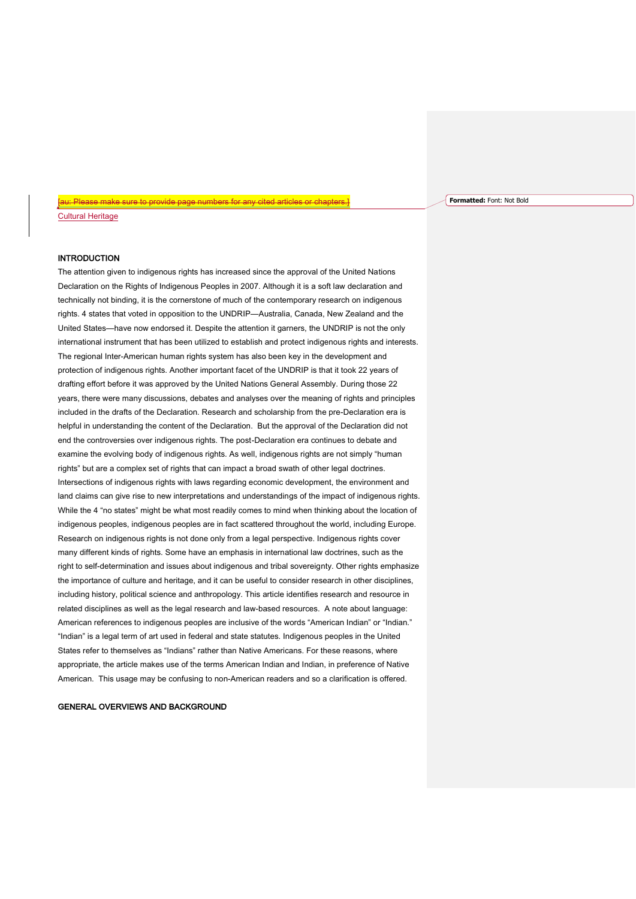# **INTRODUCTION**

Cultural Heritage

The attention given to indigenous rights has increased since the approval of the United Nations Declaration on the Rights of Indigenous Peoples in 2007. Although it is a soft law declaration and technically not binding, it is the cornerstone of much of the contemporary research on indigenous rights. 4 states that voted in opposition to the UNDRIP—Australia, Canada, New Zealand and the United States—have now endorsed it. Despite the attention it garners, the UNDRIP is not the only international instrument that has been utilized to establish and protect indigenous rights and interests. The regional Inter-American human rights system has also been key in the development and protection of indigenous rights. Another important facet of the UNDRIP is that it took 22 years of drafting effort before it was approved by the United Nations General Assembly. During those 22 years, there were many discussions, debates and analyses over the meaning of rights and principles included in the drafts of the Declaration. Research and scholarship from the pre-Declaration era is helpful in understanding the content of the Declaration. But the approval of the Declaration did not end the controversies over indigenous rights. The post-Declaration era continues to debate and examine the evolving body of indigenous rights. As well, indigenous rights are not simply "human rights" but are a complex set of rights that can impact a broad swath of other legal doctrines. Intersections of indigenous rights with laws regarding economic development, the environment and land claims can give rise to new interpretations and understandings of the impact of indigenous rights. While the 4 "no states" might be what most readily comes to mind when thinking about the location of indigenous peoples, indigenous peoples are in fact scattered throughout the world, including Europe. Research on indigenous rights is not done only from a legal perspective. Indigenous rights cover many different kinds of rights. Some have an emphasis in international law doctrines, such as the right to self-determination and issues about indigenous and tribal sovereignty. Other rights emphasize the importance of culture and heritage, and it can be useful to consider research in other disciplines, including history, political science and anthropology. This article identifies research and resource in related disciplines as well as the legal research and law-based resources. A note about language: American references to indigenous peoples are inclusive of the words "American Indian" or "Indian." "Indian" is a legal term of art used in federal and state statutes. Indigenous peoples in the United States refer to themselves as "Indians" rather than Native Americans. For these reasons, where appropriate, the article makes use of the terms American Indian and Indian, in preference of Native American. This usage may be confusing to non-American readers and so a clarification is offered.

[au: Please make sure to provide page numbers for any cited articles or chapters.]

#### GENERAL OVERVIEWS AND BACKGROUND

**Formatted:** Font: Not Bold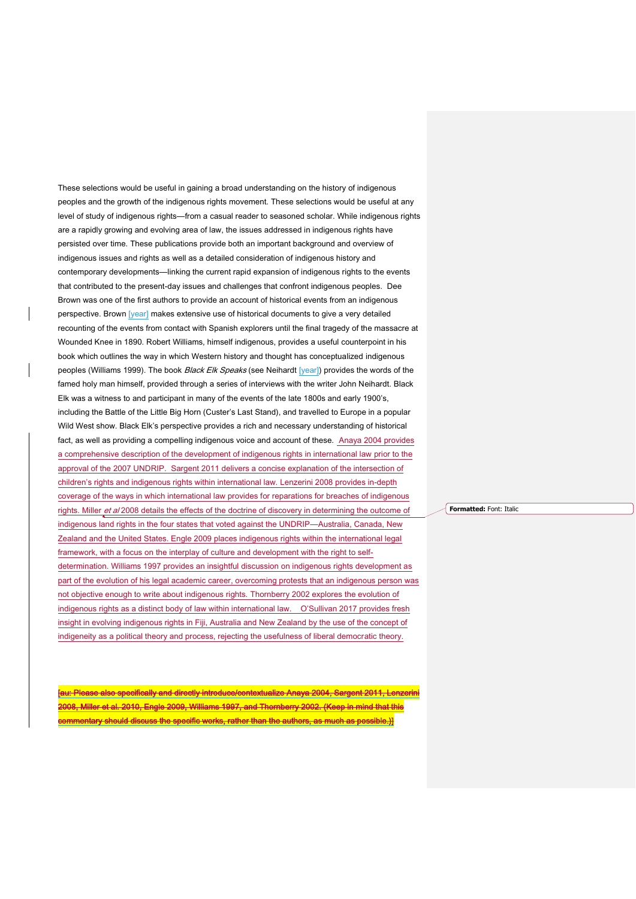These selections would be useful in gaining a broad understanding on the history of indigenous peoples and the growth of the indigenous rights movement. These selections would be useful at any level of study of indigenous rights—from a casual reader to seasoned scholar. While indigenous rights are a rapidly growing and evolving area of law, the issues addressed in indigenous rights have persisted over time. These publications provide both an important background and overview of indigenous issues and rights as well as a detailed consideration of indigenous history and contemporary developments—linking the current rapid expansion of indigenous rights to the events that contributed to the present-day issues and challenges that confront indigenous peoples. Dee Brown was one of the first authors to provide an account of historical events from an indigenous perspective. Brown [year] makes extensive use of historical documents to give a very detailed recounting of the events from contact with Spanish explorers until the final tragedy of the massacre at Wounded Knee in 1890. Robert Williams, himself indigenous, provides a useful counterpoint in his book which outlines the way in which Western history and thought has conceptualized indigenous peoples (Williams 1999). The book Black Elk Speaks (see Neihardt [year]) provides the words of the famed holy man himself, provided through a series of interviews with the writer John Neihardt. Black Elk was a witness to and participant in many of the events of the late 1800s and early 1900's, including the Battle of the Little Big Horn (Custer's Last Stand), and travelled to Europe in a popular Wild West show. Black Elk's perspective provides a rich and necessary understanding of historical fact, as well as providing a compelling indigenous voice and account of these. Anaya 2004 provides a comprehensive description of the development of indigenous rights in international law prior to the approval of the 2007 UNDRIP. Sargent 2011 delivers a concise explanation of the intersection of children's rights and indigenous rights within international law. Lenzerini 2008 provides in-depth coverage of the ways in which international law provides for reparations for breaches of indigenous rights. Miller et al 2008 details the effects of the doctrine of discovery in determining the outcome of indigenous land rights in the four states that voted against the UNDRIP—Australia, Canada, New Zealand and the United States. Engle 2009 places indigenous rights within the international legal framework, with a focus on the interplay of culture and development with the right to selfdetermination. Williams 1997 provides an insightful discussion on indigenous rights development as part of the evolution of his legal academic career, overcoming protests that an indigenous person was not objective enough to write about indigenous rights. Thornberry 2002 explores the evolution of indigenous rights as a distinct body of law within international law. O'Sullivan 2017 provides fresh insight in evolving indigenous rights in Fiji, Australia and New Zealand by the use of the concept of indigeneity as a political theory and process, rejecting the usefulness of liberal democratic theory.

[au: Please also specifically and directly introduce/contextualize Anaya 2004, Sargent 2011, Lenzerini 2008, Miller et al. 2010, Engle 2009, Williams 1997, and Thornberry 2002. (Keep in mind that this commentary should discuss the specific works, rather than the authors, as much as possible.)]

**Formatted:** Font: Italic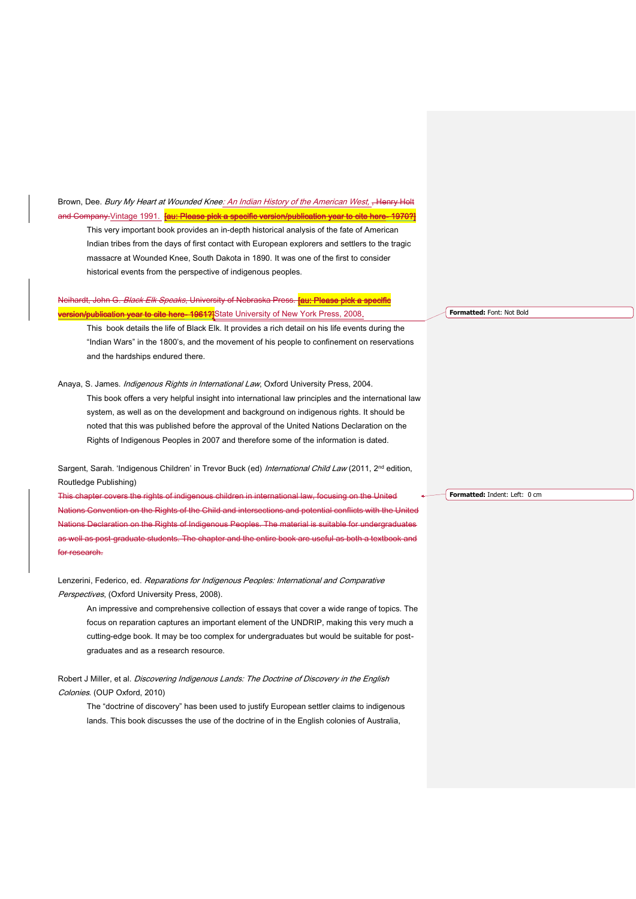Brown, Dee. Bury My Heart at Wounded Knee: An Indian History of the American West, Henry Holt and Company.Vintage 1991. **[au: Please pick a specific version/publication year to cite here- 1970?]** 

This very important book provides an in-depth historical analysis of the fate of American Indian tribes from the days of first contact with European explorers and settlers to the tragic massacre at Wounded Knee, South Dakota in 1890. It was one of the first to consider historical events from the perspective of indigenous peoples.

Neihardt, John G. *Black Elk Speaks*, University of Nebraska Press. <mark>[au: Please pick a specific</mark> **ersion/publication year to cite here- 1961?]**State University of New York Press, 2008**.** 

This book details the life of Black Elk. It provides a rich detail on his life events during the "Indian Wars" in the 1800's, and the movement of his people to confinement on reservations and the hardships endured there.

# Anaya, S. James. Indigenous Rights in International Law, Oxford University Press, 2004. This book offers a very helpful insight into international law principles and the international law system, as well as on the development and background on indigenous rights. It should be noted that this was published before the approval of the United Nations Declaration on the Rights of Indigenous Peoples in 2007 and therefore some of the information is dated.

Sargent, Sarah. 'Indigenous Children' in Trevor Buck (ed) International Child Law (2011, 2<sup>nd</sup> edition, Routledge Publishing)

This chapter covers the rights of indigenous children in international law, focusing on the United Nations Convention on the Rights of the Child and intersections and potential conflicts with the United Nations Declaration on the Rights of Indigenous Peoples. The material is suitable for undergraduates well as post-graduate students. The chapter and the entire book are useful as both a textbook a for research.

Lenzerini, Federico, ed. Reparations for Indigenous Peoples: International and Comparative Perspectives, (Oxford University Press, 2008).

An impressive and comprehensive collection of essays that cover a wide range of topics. The focus on reparation captures an important element of the UNDRIP, making this very much a cutting-edge book. It may be too complex for undergraduates but would be suitable for postgraduates and as a research resource.

Robert J Miller, et al. Discovering Indigenous Lands: The Doctrine of Discovery in the English Colonies. (OUP Oxford, 2010)

The "doctrine of discovery" has been used to justify European settler claims to indigenous lands. This book discusses the use of the doctrine of in the English colonies of Australia,

**Formatted:** Font: Not Bold

**Formatted:** Indent: Left: 0 cm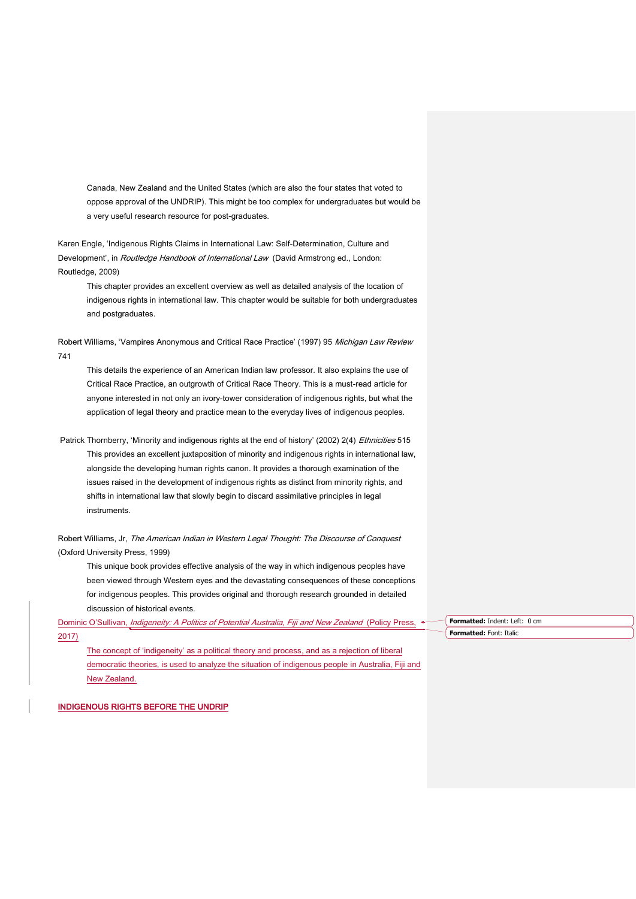Canada, New Zealand and the United States (which are also the four states that voted to oppose approval of the UNDRIP). This might be too complex for undergraduates but would be a very useful research resource for post-graduates.

Karen Engle, 'Indigenous Rights Claims in International Law: Self-Determination, Culture and Development', in *Routledge Handbook of International Law* (David Armstrong ed., London: Routledge, 2009)

This chapter provides an excellent overview as well as detailed analysis of the location of indigenous rights in international law. This chapter would be suitable for both undergraduates and postgraduates.

Robert Williams, 'Vampires Anonymous and Critical Race Practice' (1997) 95 Michigan Law Review 741

This details the experience of an American Indian law professor. It also explains the use of Critical Race Practice, an outgrowth of Critical Race Theory. This is a must-read article for anyone interested in not only an ivory-tower consideration of indigenous rights, but what the application of legal theory and practice mean to the everyday lives of indigenous peoples.

Patrick Thornberry, 'Minority and indigenous rights at the end of history' (2002) 2(4) Ethnicities 515 This provides an excellent juxtaposition of minority and indigenous rights in international law, alongside the developing human rights canon. It provides a thorough examination of the issues raised in the development of indigenous rights as distinct from minority rights, and shifts in international law that slowly begin to discard assimilative principles in legal instruments.

Robert Williams, Jr, The American Indian in Western Legal Thought: The Discourse of Conquest (Oxford University Press, 1999)

This unique book provides effective analysis of the way in which indigenous peoples have been viewed through Western eyes and the devastating consequences of these conceptions for indigenous peoples. This provides original and thorough research grounded in detailed discussion of historical events.

Dominic O'Sullivan, *Indigeneity: A Politics of Potential Australia, Fiji and New Zealand* (Policy Press, 2017)

The concept of 'indigeneity' as a political theory and process, and as a rejection of liberal democratic theories, is used to analyze the situation of indigenous people in Australia, Fiji and New Zealand.

**Formatted:** Indent: Left: 0 cm **Formatted:** Font: Italic

INDIGENOUS RIGHTS BEFORE THE UNDRIP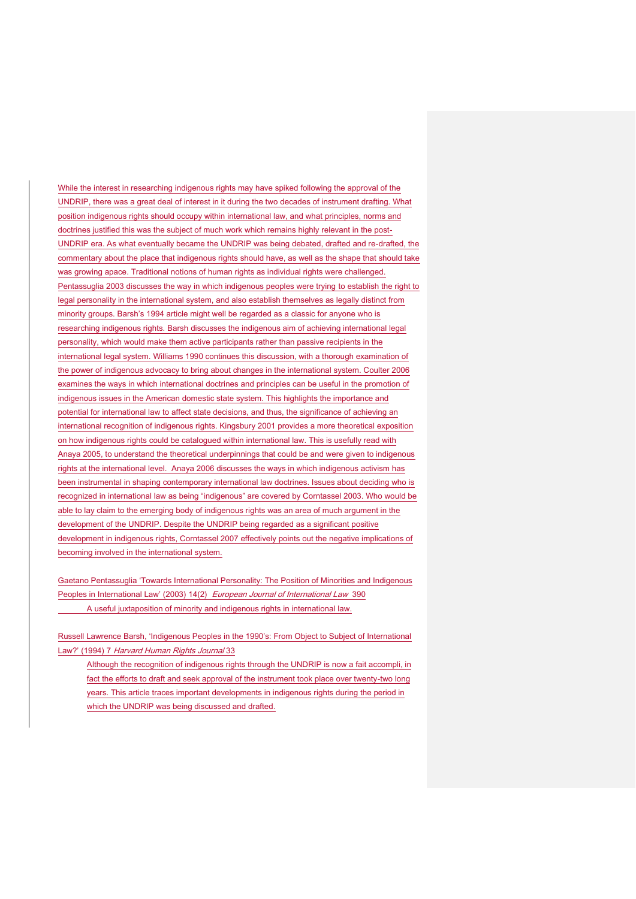While the interest in researching indigenous rights may have spiked following the approval of the UNDRIP, there was a great deal of interest in it during the two decades of instrument drafting. What position indigenous rights should occupy within international law, and what principles, norms and doctrines justified this was the subject of much work which remains highly relevant in the post-UNDRIP era. As what eventually became the UNDRIP was being debated, drafted and re-drafted, the commentary about the place that indigenous rights should have, as well as the shape that should take was growing apace. Traditional notions of human rights as individual rights were challenged. Pentassuglia 2003 discusses the way in which indigenous peoples were trying to establish the right to legal personality in the international system, and also establish themselves as legally distinct from minority groups. Barsh's 1994 article might well be regarded as a classic for anyone who is researching indigenous rights. Barsh discusses the indigenous aim of achieving international legal personality, which would make them active participants rather than passive recipients in the international legal system. Williams 1990 continues this discussion, with a thorough examination of the power of indigenous advocacy to bring about changes in the international system. Coulter 2006 examines the ways in which international doctrines and principles can be useful in the promotion of indigenous issues in the American domestic state system. This highlights the importance and potential for international law to affect state decisions, and thus, the significance of achieving an international recognition of indigenous rights. Kingsbury 2001 provides a more theoretical exposition on how indigenous rights could be catalogued within international law. This is usefully read with Anaya 2005, to understand the theoretical underpinnings that could be and were given to indigenous rights at the international level. Anaya 2006 discusses the ways in which indigenous activism has been instrumental in shaping contemporary international law doctrines. Issues about deciding who is recognized in international law as being "indigenous" are covered by Corntassel 2003. Who would be able to lay claim to the emerging body of indigenous rights was an area of much argument in the development of the UNDRIP. Despite the UNDRIP being regarded as a significant positive development in indigenous rights, Corntassel 2007 effectively points out the negative implications of becoming involved in the international system.

Gaetano Pentassuglia 'Towards International Personality: The Position of Minorities and Indigenous Peoples in International Law' (2003) 14(2) European Journal of International Law 390 A useful juxtaposition of minority and indigenous rights in international law.

Russell Lawrence Barsh, 'Indigenous Peoples in the 1990's: From Object to Subject of International Law?' (1994) 7 Harvard Human Rights Journal 33

Although the recognition of indigenous rights through the UNDRIP is now a fait accompli, in fact the efforts to draft and seek approval of the instrument took place over twenty-two long years. This article traces important developments in indigenous rights during the period in which the UNDRIP was being discussed and drafted.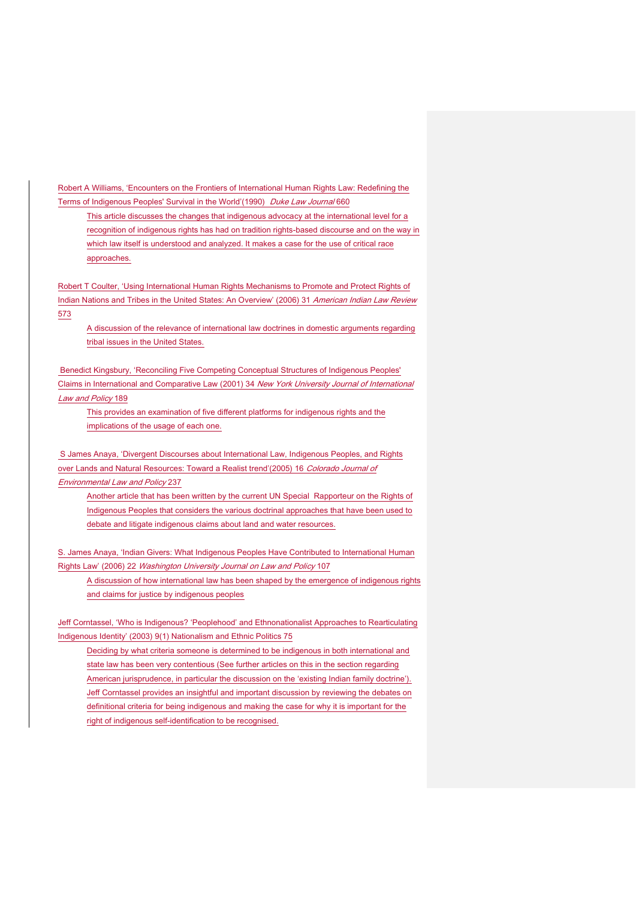Robert A Williams, 'Encounters on the Frontiers of International Human Rights Law: Redefining the Terms of Indigenous Peoples' Survival in the World'(1990) Duke Law Journal 660

This article discusses the changes that indigenous advocacy at the international level for a recognition of indigenous rights has had on tradition rights-based discourse and on the way in which law itself is understood and analyzed. It makes a case for the use of critical race approaches.

Robert T Coulter, 'Using International Human Rights Mechanisms to Promote and Protect Rights of Indian Nations and Tribes in the United States: An Overview' (2006) 31 American Indian Law Review 573

A discussion of the relevance of international law doctrines in domestic arguments regarding tribal issues in the United States.

Benedict Kingsbury, 'Reconciling Five Competing Conceptual Structures of Indigenous Peoples' Claims in International and Comparative Law (2001) 34 New York University Journal of International Law and Policy 189

This provides an examination of five different platforms for indigenous rights and the implications of the usage of each one.

S James Anaya, 'Divergent Discourses about International Law, Indigenous Peoples, and Rights over Lands and Natural Resources: Toward a Realist trend'(2005) 16 Colorado Journal of Environmental Law and Policy 237

Another article that has been written by the current UN Special Rapporteur on the Rights of Indigenous Peoples that considers the various doctrinal approaches that have been used to debate and litigate indigenous claims about land and water resources.

S. James Anaya, 'Indian Givers: What Indigenous Peoples Have Contributed to International Human Rights Law' (2006) 22 Washington University Journal on Law and Policy 107

A discussion of how international law has been shaped by the emergence of indigenous rights and claims for justice by indigenous peoples

Jeff Corntassel, 'Who is Indigenous? 'Peoplehood' and Ethnonationalist Approaches to Rearticulating Indigenous Identity' (2003) 9(1) Nationalism and Ethnic Politics 75

Deciding by what criteria someone is determined to be indigenous in both international and state law has been very contentious (See further articles on this in the section regarding American jurisprudence, in particular the discussion on the 'existing Indian family doctrine'). Jeff Corntassel provides an insightful and important discussion by reviewing the debates on definitional criteria for being indigenous and making the case for why it is important for the right of indigenous self-identification to be recognised.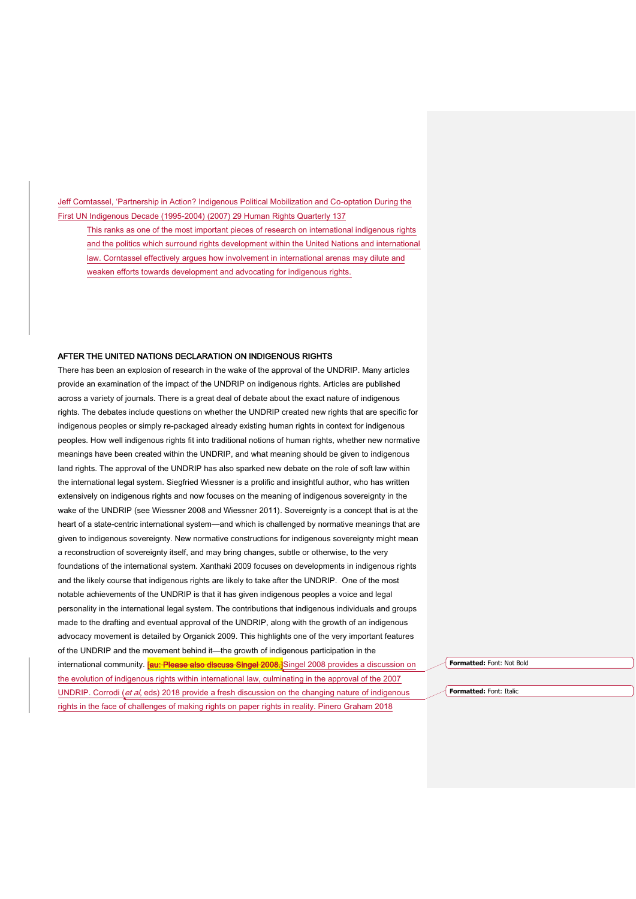Jeff Corntassel, 'Partnership in Action? Indigenous Political Mobilization and Co-optation During the First UN Indigenous Decade (1995-2004) (2007) 29 Human Rights Quarterly 137

This ranks as one of the most important pieces of research on international indigenous rights and the politics which surround rights development within the United Nations and international law. Corntassel effectively argues how involvement in international arenas may dilute and weaken efforts towards development and advocating for indigenous rights.

#### AFTER THE UNITED NATIONS DECLARATION ON INDIGENOUS RIGHTS

There has been an explosion of research in the wake of the approval of the UNDRIP. Many articles provide an examination of the impact of the UNDRIP on indigenous rights. Articles are published across a variety of journals. There is a great deal of debate about the exact nature of indigenous rights. The debates include questions on whether the UNDRIP created new rights that are specific for indigenous peoples or simply re-packaged already existing human rights in context for indigenous peoples. How well indigenous rights fit into traditional notions of human rights, whether new normative meanings have been created within the UNDRIP, and what meaning should be given to indigenous land rights. The approval of the UNDRIP has also sparked new debate on the role of soft law within the international legal system. Siegfried Wiessner is a prolific and insightful author, who has written extensively on indigenous rights and now focuses on the meaning of indigenous sovereignty in the wake of the UNDRIP (see Wiessner 2008 and Wiessner 2011). Sovereignty is a concept that is at the heart of a state-centric international system—and which is challenged by normative meanings that are given to indigenous sovereignty. New normative constructions for indigenous sovereignty might mean a reconstruction of sovereignty itself, and may bring changes, subtle or otherwise, to the very foundations of the international system. Xanthaki 2009 focuses on developments in indigenous rights and the likely course that indigenous rights are likely to take after the UNDRIP. One of the most notable achievements of the UNDRIP is that it has given indigenous peoples a voice and legal personality in the international legal system. The contributions that indigenous individuals and groups made to the drafting and eventual approval of the UNDRIP, along with the growth of an indigenous advocacy movement is detailed by Organick 2009. This highlights one of the very important features of the UNDRIP and the movement behind it—the growth of indigenous participation in the international community. **[au: Please also discuss Singel 2008.**]Singel 2008 provides a discussion on the evolution of indigenous rights within international law, culminating in the approval of the 2007 UNDRIP. Corrodi (et al, eds) 2018 provide a fresh discussion on the changing nature of indigenous rights in the face of challenges of making rights on paper rights in reality. Pinero Graham 2018

**Formatted:** Font: Not Bold

**Formatted:** Font: Italic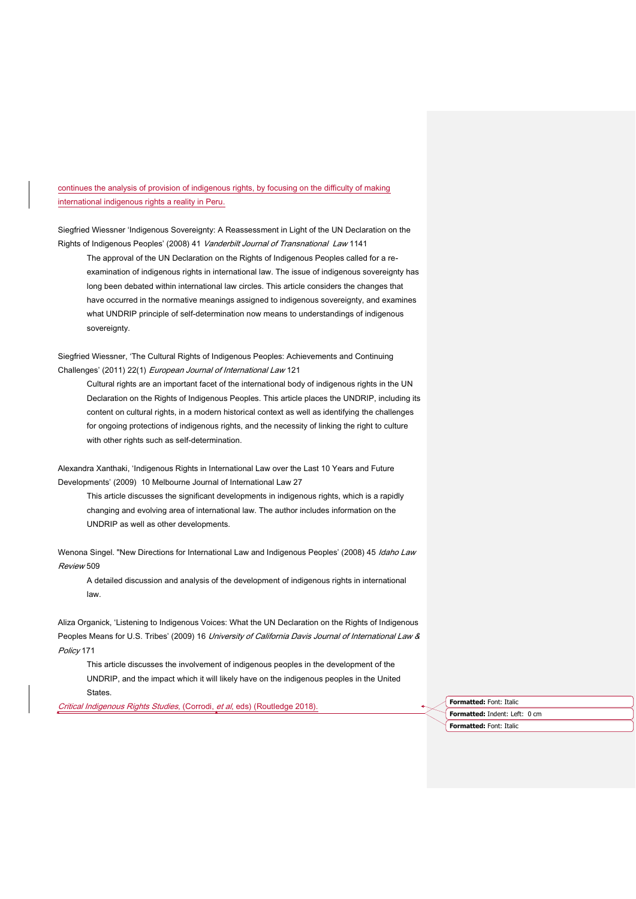# continues the analysis of provision of indigenous rights, by focusing on the difficulty of making international indigenous rights a reality in Peru.

Siegfried Wiessner 'Indigenous Sovereignty: A Reassessment in Light of the UN Declaration on the Rights of Indigenous Peoples' (2008) 41 Vanderbilt Journal of Transnational Law 1141

The approval of the UN Declaration on the Rights of Indigenous Peoples called for a reexamination of indigenous rights in international law. The issue of indigenous sovereignty has long been debated within international law circles. This article considers the changes that have occurred in the normative meanings assigned to indigenous sovereignty, and examines what UNDRIP principle of self-determination now means to understandings of indigenous sovereignty.

Siegfried Wiessner, 'The Cultural Rights of Indigenous Peoples: Achievements and Continuing Challenges' (2011) 22(1) European Journal of International Law 121

Cultural rights are an important facet of the international body of indigenous rights in the UN Declaration on the Rights of Indigenous Peoples. This article places the UNDRIP, including its content on cultural rights, in a modern historical context as well as identifying the challenges for ongoing protections of indigenous rights, and the necessity of linking the right to culture with other rights such as self-determination.

Alexandra Xanthaki, 'Indigenous Rights in International Law over the Last 10 Years and Future Developments' (2009) 10 Melbourne Journal of International Law 27

This article discusses the significant developments in indigenous rights, which is a rapidly changing and evolving area of international law. The author includes information on the UNDRIP as well as other developments.

Wenona Singel. "New Directions for International Law and Indigenous Peoples' (2008) 45 Idaho Law Review 509

A detailed discussion and analysis of the development of indigenous rights in international law.

Aliza Organick, 'Listening to Indigenous Voices: What the UN Declaration on the Rights of Indigenous Peoples Means for U.S. Tribes' (2009) 16 University of California Davis Journal of International Law & Policy 171

This article discusses the involvement of indigenous peoples in the development of the UNDRIP, and the impact which it will likely have on the indigenous peoples in the United States.

Critical Indigenous Rights Studies, (Corrodi, et al, eds) (Routledge 2018). **Formatted:** Font: Italic

**Formatted:** Indent: Left: 0 cm **Formatted:** Font: Italic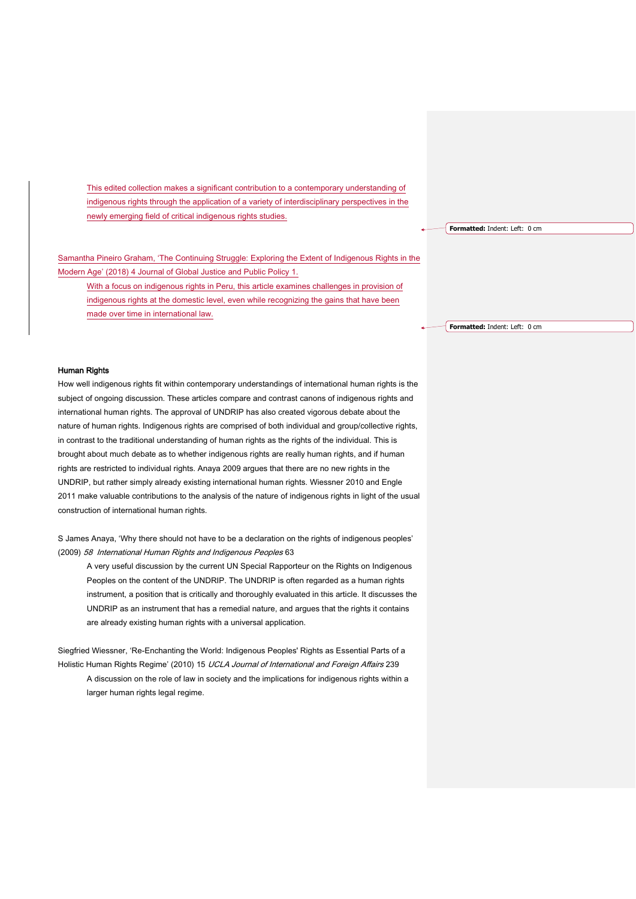This edited collection makes a significant contribution to a contemporary understanding of indigenous rights through the application of a variety of interdisciplinary perspectives in the newly emerging field of critical indigenous rights studies.

Samantha Pineiro Graham, 'The Continuing Struggle: Exploring the Extent of Indigenous Rights in the Modern Age' (2018) 4 Journal of Global Justice and Public Policy 1.

With a focus on indigenous rights in Peru, this article examines challenges in provision of indigenous rights at the domestic level, even while recognizing the gains that have been made over time in international law.

**Formatted:** Indent: Left: 0 cm

**Formatted:** Indent: Left: 0 cm

#### Human Rights

How well indigenous rights fit within contemporary understandings of international human rights is the subject of ongoing discussion. These articles compare and contrast canons of indigenous rights and international human rights. The approval of UNDRIP has also created vigorous debate about the nature of human rights. Indigenous rights are comprised of both individual and group/collective rights, in contrast to the traditional understanding of human rights as the rights of the individual. This is brought about much debate as to whether indigenous rights are really human rights, and if human rights are restricted to individual rights. Anaya 2009 argues that there are no new rights in the UNDRIP, but rather simply already existing international human rights. Wiessner 2010 and Engle 2011 make valuable contributions to the analysis of the nature of indigenous rights in light of the usual construction of international human rights.

S James Anaya, 'Why there should not have to be a declaration on the rights of indigenous peoples' (2009) 58 International Human Rights and Indigenous Peoples 63

A very useful discussion by the current UN Special Rapporteur on the Rights on Indigenous Peoples on the content of the UNDRIP. The UNDRIP is often regarded as a human rights instrument, a position that is critically and thoroughly evaluated in this article. It discusses the UNDRIP as an instrument that has a remedial nature, and argues that the rights it contains are already existing human rights with a universal application.

Siegfried Wiessner, 'Re-Enchanting the World: Indigenous Peoples' Rights as Essential Parts of a Holistic Human Rights Regime' (2010) 15 UCLA Journal of International and Foreign Affairs 239 A discussion on the role of law in society and the implications for indigenous rights within a larger human rights legal regime.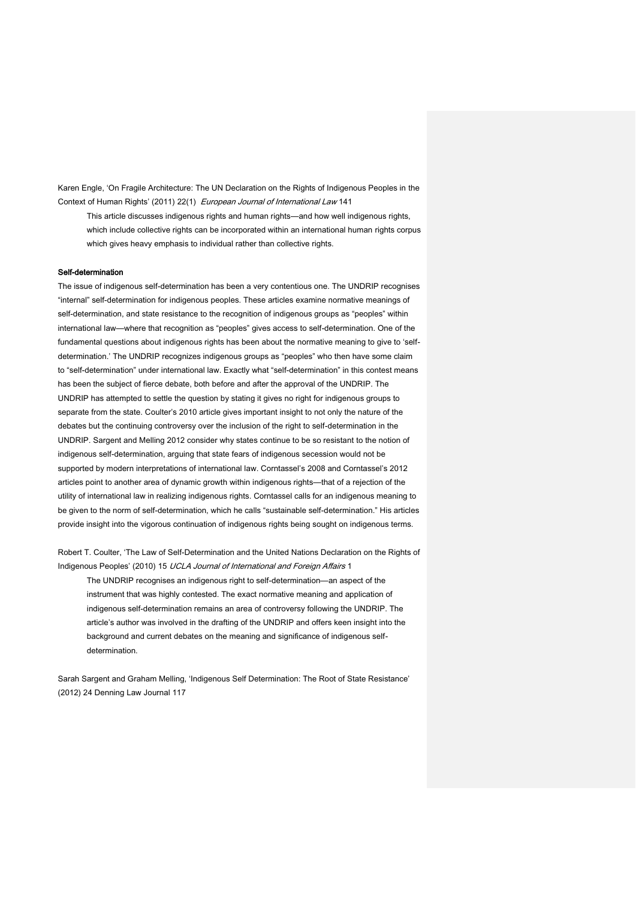Karen Engle, 'On Fragile Architecture: The UN Declaration on the Rights of Indigenous Peoples in the Context of Human Rights' (2011) 22(1) European Journal of International Law 141

This article discusses indigenous rights and human rights—and how well indigenous rights, which include collective rights can be incorporated within an international human rights corpus which gives heavy emphasis to individual rather than collective rights.

#### Self-determination

The issue of indigenous self-determination has been a very contentious one. The UNDRIP recognises "internal" self-determination for indigenous peoples. These articles examine normative meanings of self-determination, and state resistance to the recognition of indigenous groups as "peoples" within international law—where that recognition as "peoples" gives access to self-determination. One of the fundamental questions about indigenous rights has been about the normative meaning to give to 'selfdetermination.' The UNDRIP recognizes indigenous groups as "peoples" who then have some claim to "self-determination" under international law. Exactly what "self-determination" in this contest means has been the subject of fierce debate, both before and after the approval of the UNDRIP. The UNDRIP has attempted to settle the question by stating it gives no right for indigenous groups to separate from the state. Coulter's 2010 article gives important insight to not only the nature of the debates but the continuing controversy over the inclusion of the right to self-determination in the UNDRIP. Sargent and Melling 2012 consider why states continue to be so resistant to the notion of indigenous self-determination, arguing that state fears of indigenous secession would not be supported by modern interpretations of international law. Corntassel's 2008 and Corntassel's 2012 articles point to another area of dynamic growth within indigenous rights—that of a rejection of the utility of international law in realizing indigenous rights. Corntassel calls for an indigenous meaning to be given to the norm of self-determination, which he calls "sustainable self-determination." His articles provide insight into the vigorous continuation of indigenous rights being sought on indigenous terms.

Robert T. Coulter, 'The Law of Self-Determination and the United Nations Declaration on the Rights of Indigenous Peoples' (2010) 15 UCLA Journal of International and Foreign Affairs 1

The UNDRIP recognises an indigenous right to self-determination—an aspect of the instrument that was highly contested. The exact normative meaning and application of indigenous self-determination remains an area of controversy following the UNDRIP. The article's author was involved in the drafting of the UNDRIP and offers keen insight into the background and current debates on the meaning and significance of indigenous selfdetermination.

Sarah Sargent and Graham Melling, 'Indigenous Self Determination: The Root of State Resistance' (2012) 24 Denning Law Journal 117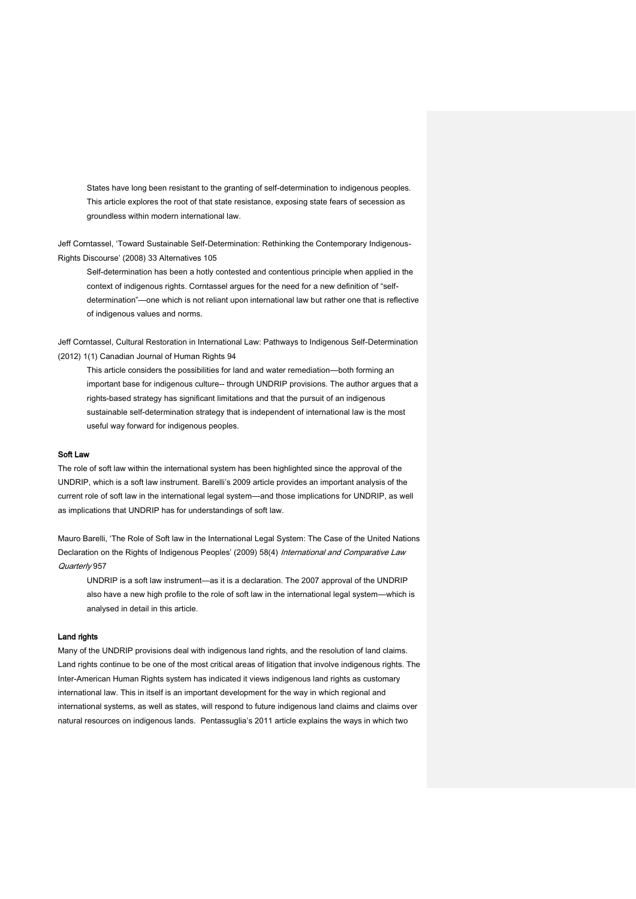States have long been resistant to the granting of self-determination to indigenous peoples. This article explores the root of that state resistance, exposing state fears of secession as groundless within modern international law.

Jeff Corntassel, 'Toward Sustainable Self-Determination: Rethinking the Contemporary Indigenous-Rights Discourse' (2008) 33 Alternatives 105

Self-determination has been a hotly contested and contentious principle when applied in the context of indigenous rights. Corntassel argues for the need for a new definition of "selfdetermination"—one which is not reliant upon international law but rather one that is reflective of indigenous values and norms.

Jeff Corntassel, Cultural Restoration in International Law: Pathways to Indigenous Self-Determination (2012) 1(1) Canadian Journal of Human Rights 94

This article considers the possibilities for land and water remediation—both forming an important base for indigenous culture-- through UNDRIP provisions. The author argues that a rights-based strategy has significant limitations and that the pursuit of an indigenous sustainable self-determination strategy that is independent of international law is the most useful way forward for indigenous peoples.

#### Soft Law

The role of soft law within the international system has been highlighted since the approval of the UNDRIP, which is a soft law instrument. Barelli's 2009 article provides an important analysis of the current role of soft law in the international legal system—and those implications for UNDRIP, as well as implications that UNDRIP has for understandings of soft law.

Mauro Barelli, 'The Role of Soft law in the International Legal System: The Case of the United Nations Declaration on the Rights of Indigenous Peoples' (2009) 58(4) International and Comparative Law Quarterly 957

UNDRIP is a soft law instrument—as it is a declaration. The 2007 approval of the UNDRIP also have a new high profile to the role of soft law in the international legal system—which is analysed in detail in this article.

#### Land rights

Many of the UNDRIP provisions deal with indigenous land rights, and the resolution of land claims. Land rights continue to be one of the most critical areas of litigation that involve indigenous rights. The Inter-American Human Rights system has indicated it views indigenous land rights as customary international law. This in itself is an important development for the way in which regional and international systems, as well as states, will respond to future indigenous land claims and claims over natural resources on indigenous lands. Pentassuglia's 2011 article explains the ways in which two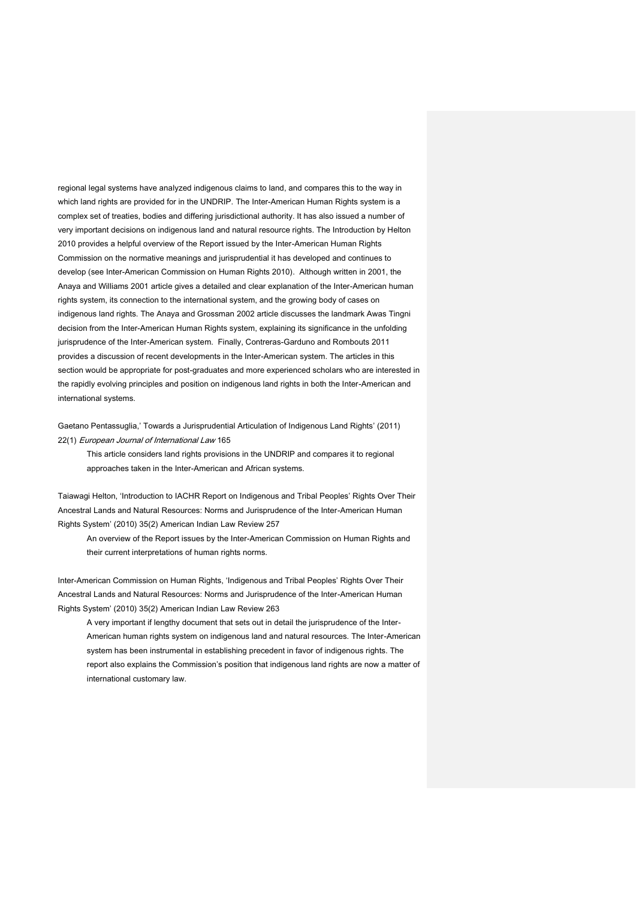regional legal systems have analyzed indigenous claims to land, and compares this to the way in which land rights are provided for in the UNDRIP. The Inter-American Human Rights system is a complex set of treaties, bodies and differing jurisdictional authority. It has also issued a number of very important decisions on indigenous land and natural resource rights. The Introduction by Helton 2010 provides a helpful overview of the Report issued by the Inter-American Human Rights Commission on the normative meanings and jurisprudential it has developed and continues to develop (see Inter-American Commission on Human Rights 2010). Although written in 2001, the Anaya and Williams 2001 article gives a detailed and clear explanation of the Inter-American human rights system, its connection to the international system, and the growing body of cases on indigenous land rights. The Anaya and Grossman 2002 article discusses the landmark Awas Tingni decision from the Inter-American Human Rights system, explaining its significance in the unfolding jurisprudence of the Inter-American system. Finally, Contreras-Garduno and Rombouts 2011 provides a discussion of recent developments in the Inter-American system. The articles in this section would be appropriate for post-graduates and more experienced scholars who are interested in the rapidly evolving principles and position on indigenous land rights in both the Inter-American and international systems.

Gaetano Pentassuglia,' Towards a Jurisprudential Articulation of Indigenous Land Rights' (2011) 22(1) European Journal of International Law 165

This article considers land rights provisions in the UNDRIP and compares it to regional approaches taken in the Inter-American and African systems.

Taiawagi Helton, 'Introduction to IACHR Report on Indigenous and Tribal Peoples' Rights Over Their Ancestral Lands and Natural Resources: Norms and Jurisprudence of the Inter-American Human Rights System' (2010) 35(2) American Indian Law Review 257

An overview of the Report issues by the Inter-American Commission on Human Rights and their current interpretations of human rights norms.

Inter-American Commission on Human Rights, 'Indigenous and Tribal Peoples' Rights Over Their Ancestral Lands and Natural Resources: Norms and Jurisprudence of the Inter-American Human Rights System' (2010) 35(2) American Indian Law Review 263

A very important if lengthy document that sets out in detail the jurisprudence of the Inter-American human rights system on indigenous land and natural resources. The Inter-American system has been instrumental in establishing precedent in favor of indigenous rights. The report also explains the Commission's position that indigenous land rights are now a matter of international customary law.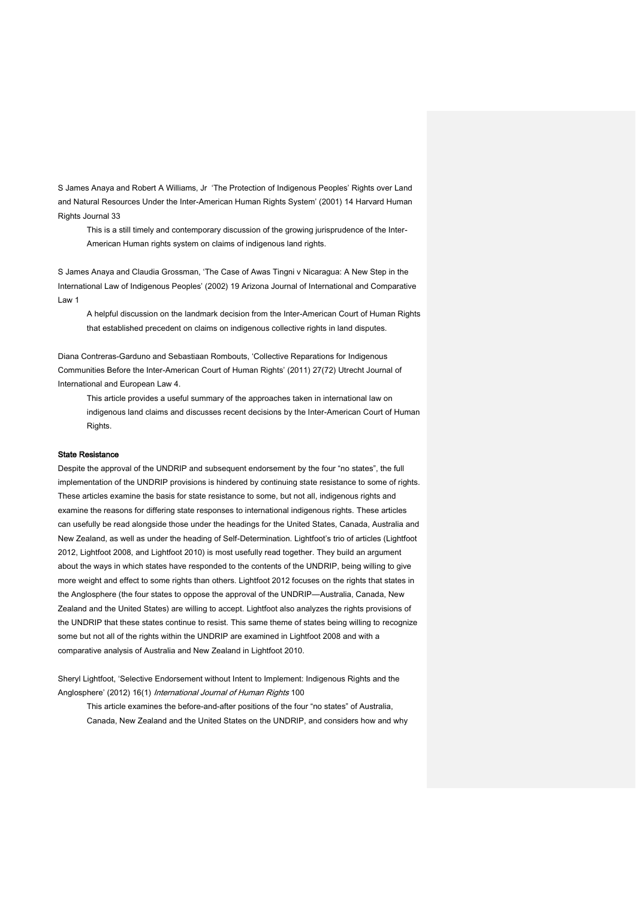S James Anaya and Robert A Williams, Jr 'The Protection of Indigenous Peoples' Rights over Land and Natural Resources Under the Inter-American Human Rights System' (2001) 14 Harvard Human Rights Journal 33

This is a still timely and contemporary discussion of the growing jurisprudence of the Inter-American Human rights system on claims of indigenous land rights.

S James Anaya and Claudia Grossman, 'The Case of Awas Tingni v Nicaragua: A New Step in the International Law of Indigenous Peoples' (2002) 19 Arizona Journal of International and Comparative Law 1

A helpful discussion on the landmark decision from the Inter-American Court of Human Rights that established precedent on claims on indigenous collective rights in land disputes.

Diana Contreras-Garduno and Sebastiaan Rombouts, 'Collective Reparations for Indigenous Communities Before the Inter-American Court of Human Rights' (2011) 27(72) Utrecht Journal of International and European Law 4.

This article provides a useful summary of the approaches taken in international law on indigenous land claims and discusses recent decisions by the Inter-American Court of Human Rights.

#### State Resistance

Despite the approval of the UNDRIP and subsequent endorsement by the four "no states", the full implementation of the UNDRIP provisions is hindered by continuing state resistance to some of rights. These articles examine the basis for state resistance to some, but not all, indigenous rights and examine the reasons for differing state responses to international indigenous rights. These articles can usefully be read alongside those under the headings for the United States, Canada, Australia and New Zealand, as well as under the heading of Self-Determination. Lightfoot's trio of articles (Lightfoot 2012, Lightfoot 2008, and Lightfoot 2010) is most usefully read together. They build an argument about the ways in which states have responded to the contents of the UNDRIP, being willing to give more weight and effect to some rights than others. Lightfoot 2012 focuses on the rights that states in the Anglosphere (the four states to oppose the approval of the UNDRIP—Australia, Canada, New Zealand and the United States) are willing to accept. Lightfoot also analyzes the rights provisions of the UNDRIP that these states continue to resist. This same theme of states being willing to recognize some but not all of the rights within the UNDRIP are examined in Lightfoot 2008 and with a comparative analysis of Australia and New Zealand in Lightfoot 2010.

Sheryl Lightfoot, 'Selective Endorsement without Intent to Implement: Indigenous Rights and the Anglosphere' (2012) 16(1) International Journal of Human Rights 100

This article examines the before-and-after positions of the four "no states" of Australia, Canada, New Zealand and the United States on the UNDRIP, and considers how and why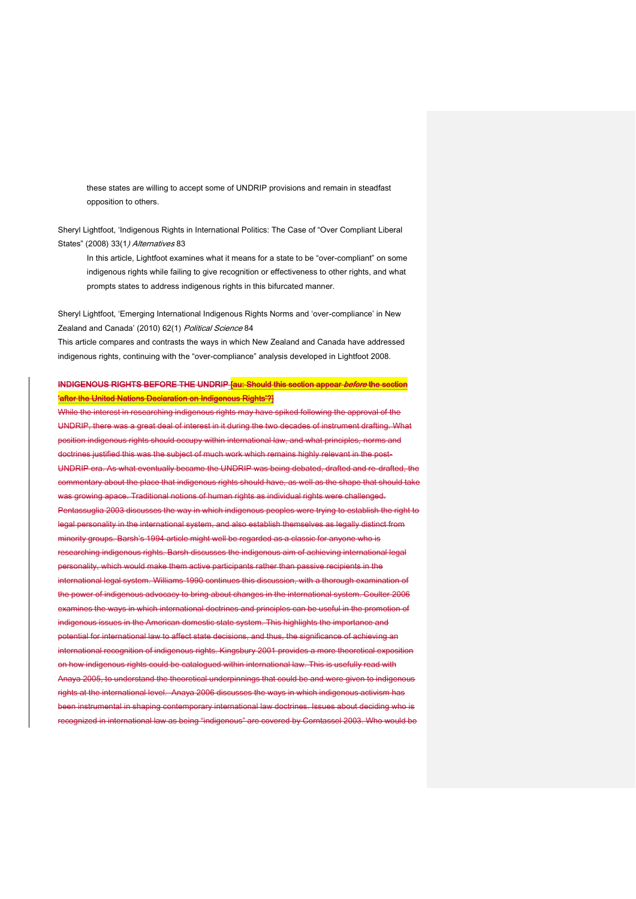these states are willing to accept some of UNDRIP provisions and remain in steadfast opposition to others.

Sheryl Lightfoot, 'Indigenous Rights in International Politics: The Case of "Over Compliant Liberal States" (2008) 33(1) Alternatives 83

In this article, Lightfoot examines what it means for a state to be "over-compliant" on some indigenous rights while failing to give recognition or effectiveness to other rights, and what prompts states to address indigenous rights in this bifurcated manner.

Sheryl Lightfoot, 'Emerging International Indigenous Rights Norms and 'over-compliance' in New Zealand and Canada' (2010) 62(1) Political Science 84

This article compares and contrasts the ways in which New Zealand and Canada have addressed indigenous rights, continuing with the "over-compliance" analysis developed in Lightfoot 2008.

# INDIGENOUS RIGHTS BEFORE THE UNDRIP **[au: Should this section appear** *before* **the section** 'after the United Nations Declaration on Indigenous Rights'?]

While the interest in researching indigenous rights may have spiked following the approval of the UNDRIP, there was a great deal of interest in it during the two decades of instrument drafting. What position indigenous rights should occupy within international law, and what principles, norms and trines justified this was the subject of much work which remains highly relevant in the post-UNDRIP era. As what eventually became the UNDRIP was being debated, drafted and re-drafted, the commentary about the place that indigenous rights should have, as well as the shape that should take owing apace. Traditional notions of human rights as individual rights were challenged. Pentassuglia 2003 discusses the way in which indigenous peoples were trying to establish the right to legal personality in the international system, and also establish themselves as legally distinct from rity groups. Barsh's 1994 article might well be regarded as a classic for anyone who is rching indigenous rights. Barsh discusses the indigenous aim of achieving international legal personality, which would make them active participants rather than passive recipients in the ational legal system. Williams 1990 continues this discussion, with a thorough examination of the power of indigenous advocacy to bring about changes in the international system. Coulter 2006 mines the ways in which international doctrines and principles can be useful in the promotion of nous issues in the American domestic state system. This highlights the importance and ntial for international law to affect state decisions, and thus, the significance of achieving an ational recognition of indigenous rights. Kingsbury 2001 provides a more theoretical exposition ow indigenous rights could be catalogued within international law. This is usefully read with Anaya 2005, to understand the theoretical underpinnings that could be and were given to indigenous rights at the international level. Anaya 2006 discusses the ways in which indigenous activism has n instrumental in shaping contemporary international law doctrines. Issues about deciding who is ognized in international law as being "indigenous" are covered by Corntassel 2003. Who would be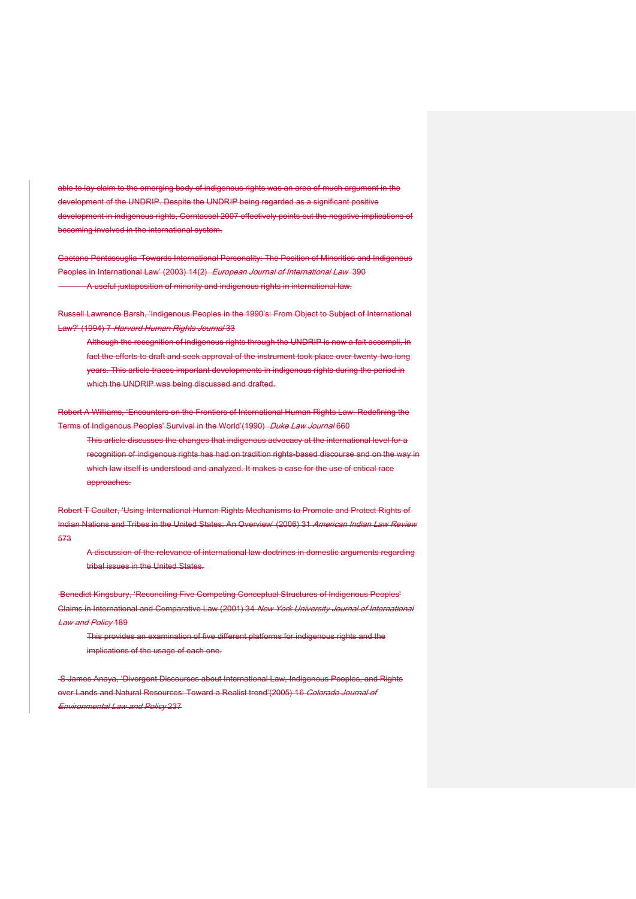able to lay claim to the emerging body of indigenous rights was an area of much argument in the development of the UNDRIP. Despite the UNDRIP being regarded as a significant positive development in indigenous rights, Corntassel 2007 effectively points out the negative implications of becoming involved in the international system.

Gaetano Pentassuglia 'Towards International Personality: The Position of Minorities and Indigenous Peoples in International Law' (2003) 14(2) European Journal of International Law 390 A useful juxtaposition of minority and indigenous rights in international law.

Russell Lawrence Barsh, 'Indigenous Peoples in the 1990's: From Object to Subject of International Law?' (1994) 7 Harvard Human Rights Journal 33

Although the recognition of indigenous rights through the UNDRIP is now a fait accompli, in fact the efforts to draft and seek approval of the instrument took place over twenty-two long years. This article traces important developments in indigenous rights during the period in which the UNDRIP was being discussed and drafted.

Robert A Williams, 'Encounters on the Frontiers of International Human Rights Law: Redefining the Terms of Indigenous Peoples' Survival in the World'(1990) Duke Law Journal 660

This article discusses the changes that indigenous advocacy at the international level for a recognition of indigenous rights has had on tradition rights-based discourse and on the way in which law itself is understood and analyzed. It makes a case for the use of critical race approaches.

Robert T Coulter, 'Using International Human Rights Mechanisms to Promote and Protect Rights of Indian Nations and Tribes in the United States: An Overview' (2006) 31 American Indian Law Review 573

A discussion of the relevance of international law doctrines in domestic arguments regarding tribal issues in the United States.

Benedict Kingsbury, 'Reconciling Five Competing Conceptual Structures of Indigenous Peoples' Claims in International and Comparative Law (2001) 34 New York University Journal of International **Law and Policy 189** 

This provides an examination of five different platforms for indigenous rights and the implications of the usage of each one.

S James Anaya, 'Divergent Discourses about International Law, Indigenous Peoples, and Rights over Lands and Natural Resources: Toward a Realist trend'(2005) 16 Colorado Journal of Environmental Law and Policy 237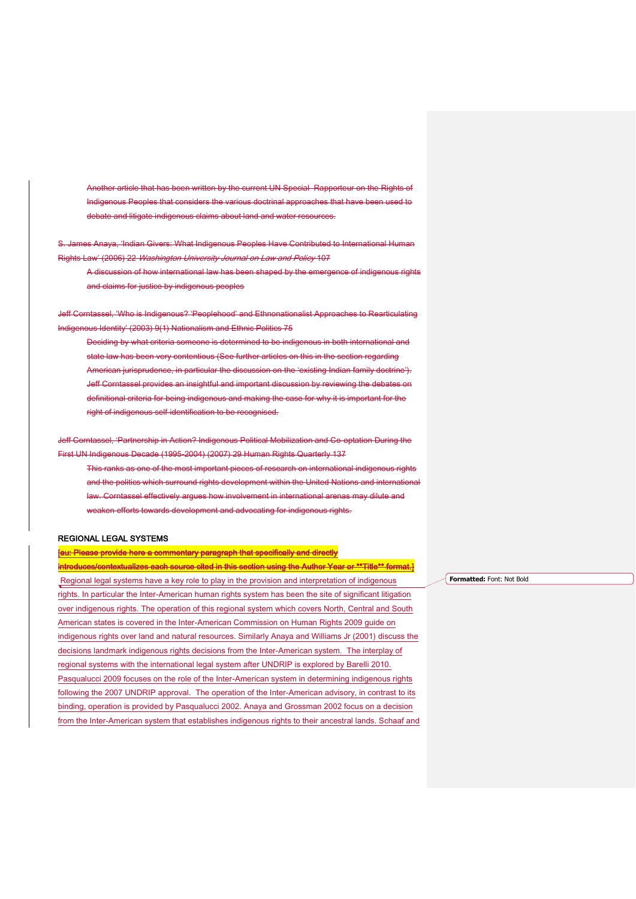Another article that has been written by the current UN Special Rapporteur on the Rights of Indigenous Peoples that considers the various doctrinal approaches that have been used to debate and litigate indigenous claims about land and water resources.

S. James Anaya, 'Indian Givers: What Indigenous Peoples Have Contributed to International Human Rights Law' (2006) 22 Washington University Journal on Law and Policy 107

A discussion of how international law has been shaped by the emergence of indigenous rights and claims for justice by indigenous peoples

Jeff Corntassel, 'Who is Indigenous? 'Peoplehood' and Ethnonationalist Approaches to Rearticulating Indigenous Identity' (2003) 9(1) Nationalism and Ethnic Politics 75

Deciding by what criteria someone is determined to be indigenous in both international and state law has been very contentious (See further articles on this in the section regarding American jurisprudence, in particular the discussion on the 'existing Indian family doctrine'). Jeff Corntassel provides an insightful and important discussion by reviewing the debates on definitional criteria for being indigenous and making the case for why it is important for the right of indigenous self-identification to be recognised.

Jeff Corntassel, 'Partnership in Action? Indigenous Political Mobilization and Co-optation During the First UN Indigenous Decade (1995-2004) (2007) 29 Human Rights Quarterly 137 This ranks as one of the most important pieces of research on international indigenous rights and the politics which surround rights development within the United Nations and international law. Corntassel effectively argues how involvement in international arenas may dilute and weaken efforts towards development and advocating for indigenous rights.

#### REGIONAL LEGAL SYSTEMS

[au: Please provide here a commentary paragraph that specifically and directly introduces/contextualizes each source cited in this section using the Author Year or \*\*Title\*\* format.] Regional legal systems have a key role to play in the provision and interpretation of indigenous rights. In particular the Inter-American human rights system has been the site of significant litigation over indigenous rights. The operation of this regional system which covers North, Central and South American states is covered in the Inter-American Commission on Human Rights 2009 guide on indigenous rights over land and natural resources. Similarly Anaya and Williams Jr (2001) discuss the decisions landmark indigenous rights decisions from the Inter-American system. The interplay of regional systems with the international legal system after UNDRIP is explored by Barelli 2010. Pasqualucci 2009 focuses on the role of the Inter-American system in determining indigenous rights following the 2007 UNDRIP approval. The operation of the Inter-American advisory, in contrast to its binding, operation is provided by Pasqualucci 2002. Anaya and Grossman 2002 focus on a decision from the Inter-American system that establishes indigenous rights to their ancestral lands. Schaaf and

**Formatted:** Font: Not Bold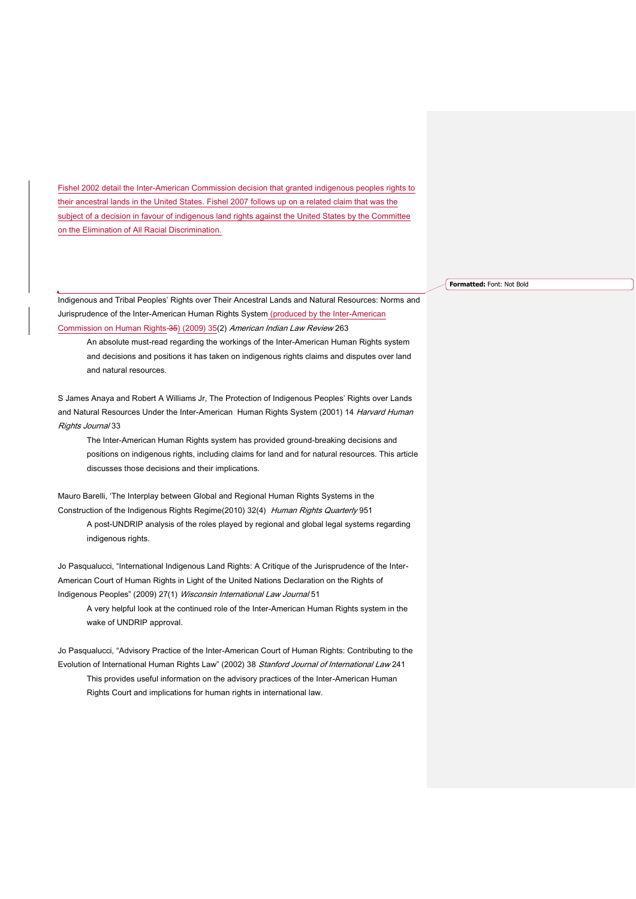Fishel 2002 detail the Inter-American Commission decision that granted indigenous peoples rights to their ancestral lands in the United States. Fishel 2007 follows up on a related claim that was the subject of a decision in favour of indigenous land rights against the United States by the Committee on the Elimination of All Racial Discrimination.

Indigenous and Tribal Peoples' Rights over Their Ancestral Lands and Natural Resources: Norms and Jurisprudence of the Inter-American Human Rights System (produced by the Inter-American Commission on Human Rights 35) (2009) 35(2) American Indian Law Review 263

An absolute must-read regarding the workings of the Inter-American Human Rights system and decisions and positions it has taken on indigenous rights claims and disputes over land and natural resources.

S James Anaya and Robert A Williams Jr, The Protection of Indigenous Peoples' Rights over Lands and Natural Resources Under the Inter-American Human Rights System (2001) 14 Harvard Human Rights Journal 33

The Inter-American Human Rights system has provided ground-breaking decisions and positions on indigenous rights, including claims for land and for natural resources. This article discusses those decisions and their implications.

Mauro Barelli, 'The Interplay between Global and Regional Human Rights Systems in the Construction of the Indigenous Rights Regime(2010) 32(4) Human Rights Quarterly 951 A post-UNDRIP analysis of the roles played by regional and global legal systems regarding indigenous rights.

Jo Pasqualucci, "International Indigenous Land Rights: A Critique of the Jurisprudence of the Inter-American Court of Human Rights in Light of the United Nations Declaration on the Rights of Indigenous Peoples" (2009) 27(1) Wisconsin International Law Journal 51

A very helpful look at the continued role of the Inter-American Human Rights system in the wake of UNDRIP approval.

Jo Pasqualucci, "Advisory Practice of the Inter-American Court of Human Rights: Contributing to the Evolution of International Human Rights Law" (2002) 38 Stanford Journal of International Law 241 This provides useful information on the advisory practices of the Inter-American Human Rights Court and implications for human rights in international law.

**Formatted:** Font: Not Bold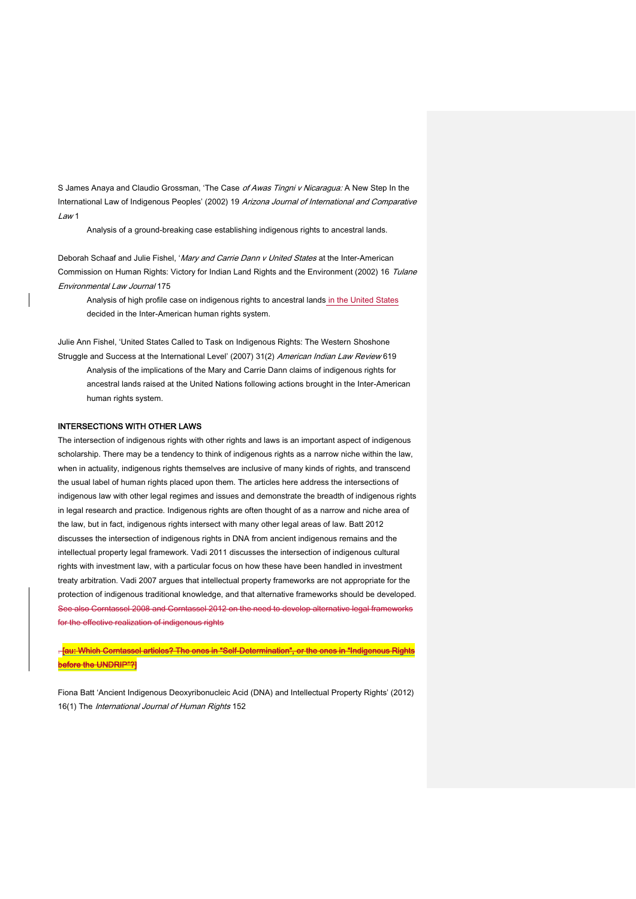S James Anaya and Claudio Grossman, 'The Case of Awas Tingni v Nicaragua: A New Step In the International Law of Indigenous Peoples' (2002) 19 Arizona Journal of International and Comparative  $l$  aw 1

Analysis of a ground-breaking case establishing indigenous rights to ancestral lands.

Deborah Schaaf and Julie Fishel, 'Mary and Carrie Dann v United States at the Inter-American Commission on Human Rights: Victory for Indian Land Rights and the Environment (2002) 16 Tulane Environmental Law Journal 175

Analysis of high profile case on indigenous rights to ancestral lands in the United States decided in the Inter-American human rights system.

Julie Ann Fishel, 'United States Called to Task on Indigenous Rights: The Western Shoshone Struggle and Success at the International Level' (2007) 31(2) American Indian Law Review 619

Analysis of the implications of the Mary and Carrie Dann claims of indigenous rights for ancestral lands raised at the United Nations following actions brought in the Inter-American human rights system.

#### INTERSECTIONS WITH OTHER LAWS

The intersection of indigenous rights with other rights and laws is an important aspect of indigenous scholarship. There may be a tendency to think of indigenous rights as a narrow niche within the law, when in actuality, indigenous rights themselves are inclusive of many kinds of rights, and transcend the usual label of human rights placed upon them. The articles here address the intersections of indigenous law with other legal regimes and issues and demonstrate the breadth of indigenous rights in legal research and practice. Indigenous rights are often thought of as a narrow and niche area of the law, but in fact, indigenous rights intersect with many other legal areas of law. Batt 2012 discusses the intersection of indigenous rights in DNA from ancient indigenous remains and the intellectual property legal framework. Vadi 2011 discusses the intersection of indigenous cultural rights with investment law, with a particular focus on how these have been handled in investment treaty arbitration. Vadi 2007 argues that intellectual property frameworks are not appropriate for the protection of indigenous traditional knowledge, and that alternative frameworks should be developed. See also Corntassel 2008 and Corntassel 2012 on the need to develop alternative legal frameworks for the effective realization of indigenous rights

Tau: Which Corntassel articles? The ones in "Self-Determination", or the ones in "Indigenous Rights before the UNDRIP"?]

Fiona Batt 'Ancient Indigenous Deoxyribonucleic Acid (DNA) and Intellectual Property Rights' (2012) 16(1) The International Journal of Human Rights 152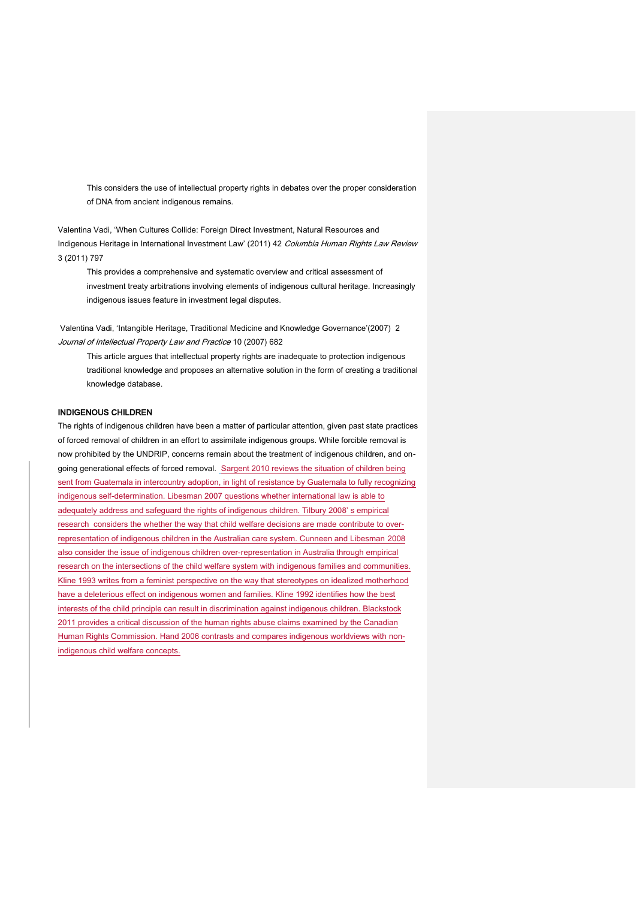This considers the use of intellectual property rights in debates over the proper consideration of DNA from ancient indigenous remains.

Valentina Vadi, 'When Cultures Collide: Foreign Direct Investment, Natural Resources and Indigenous Heritage in International Investment Law' (2011) 42 Columbia Human Rights Law Review 3 (2011) 797

This provides a comprehensive and systematic overview and critical assessment of investment treaty arbitrations involving elements of indigenous cultural heritage. Increasingly indigenous issues feature in investment legal disputes.

Valentina Vadi, 'Intangible Heritage, Traditional Medicine and Knowledge Governance'(2007) 2 Journal of Intellectual Property Law and Practice 10 (2007) 682

This article argues that intellectual property rights are inadequate to protection indigenous traditional knowledge and proposes an alternative solution in the form of creating a traditional knowledge database.

#### INDIGENOUS CHILDREN

The rights of indigenous children have been a matter of particular attention, given past state practices of forced removal of children in an effort to assimilate indigenous groups. While forcible removal is now prohibited by the UNDRIP, concerns remain about the treatment of indigenous children, and ongoing generational effects of forced removal. Sargent 2010 reviews the situation of children being sent from Guatemala in intercountry adoption, in light of resistance by Guatemala to fully recognizing indigenous self-determination. Libesman 2007 questions whether international law is able to adequately address and safeguard the rights of indigenous children. Tilbury 2008' s empirical research considers the whether the way that child welfare decisions are made contribute to overrepresentation of indigenous children in the Australian care system. Cunneen and Libesman 2008 also consider the issue of indigenous children over-representation in Australia through empirical research on the intersections of the child welfare system with indigenous families and communities. Kline 1993 writes from a feminist perspective on the way that stereotypes on idealized motherhood have a deleterious effect on indigenous women and families. Kline 1992 identifies how the best interests of the child principle can result in discrimination against indigenous children. Blackstock 2011 provides a critical discussion of the human rights abuse claims examined by the Canadian Human Rights Commission. Hand 2006 contrasts and compares indigenous worldviews with nonindigenous child welfare concepts.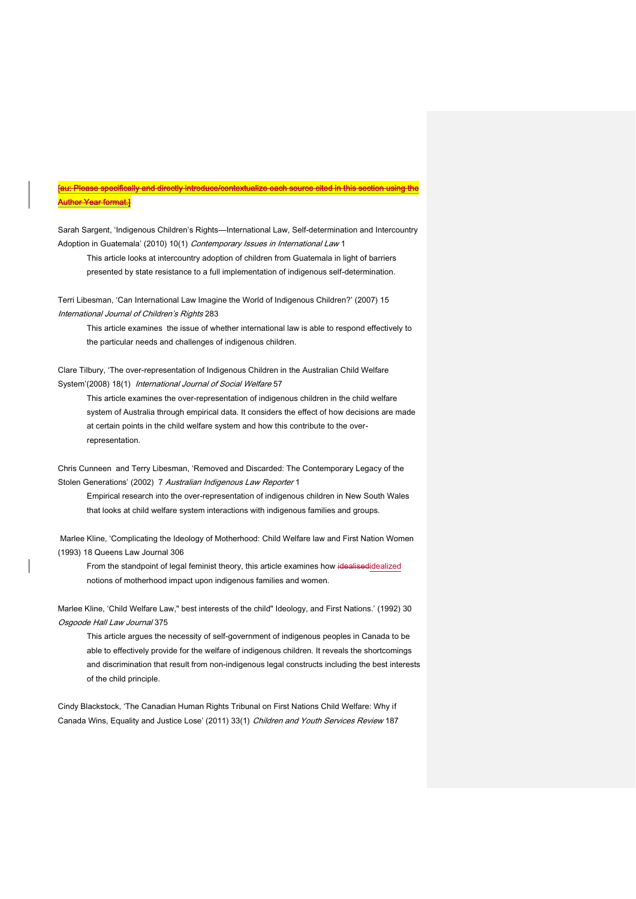# [au: Please specifically and directly introduce/contextualize each source cited in this section using the Author Year format.]

Sarah Sargent, 'Indigenous Children's Rights—International Law, Self-determination and Intercountry Adoption in Guatemala' (2010) 10(1) Contemporary Issues in International Law 1

This article looks at intercountry adoption of children from Guatemala in light of barriers presented by state resistance to a full implementation of indigenous self-determination.

Terri Libesman, 'Can International Law Imagine the World of Indigenous Children?' (2007) 15 International Journal of Children's Rights 283

This article examines the issue of whether international law is able to respond effectively to the particular needs and challenges of indigenous children.

Clare Tilbury, 'The over-representation of Indigenous Children in the Australian Child Welfare System'(2008) 18(1) International Journal of Social Welfare 57

This article examines the over-representation of indigenous children in the child welfare system of Australia through empirical data. It considers the effect of how decisions are made at certain points in the child welfare system and how this contribute to the overrepresentation.

Chris Cunneen and Terry Libesman, 'Removed and Discarded: The Contemporary Legacy of the Stolen Generations' (2002) 7 Australian Indigenous Law Reporter 1

Empirical research into the over-representation of indigenous children in New South Wales that looks at child welfare system interactions with indigenous families and groups.

Marlee Kline, 'Complicating the Ideology of Motherhood: Child Welfare law and First Nation Women (1993) 18 Queens Law Journal 306

From the standpoint of legal feminist theory, this article examines how idealisedidealized notions of motherhood impact upon indigenous families and women.

Marlee Kline, 'Child Welfare Law," best interests of the child" Ideology, and First Nations.' (1992) 30 Osgoode Hall Law Journal 375

This article argues the necessity of self-government of indigenous peoples in Canada to be able to effectively provide for the welfare of indigenous children. It reveals the shortcomings and discrimination that result from non-indigenous legal constructs including the best interests of the child principle.

Cindy Blackstock, 'The Canadian Human Rights Tribunal on First Nations Child Welfare: Why if Canada Wins, Equality and Justice Lose' (2011) 33(1) Children and Youth Services Review 187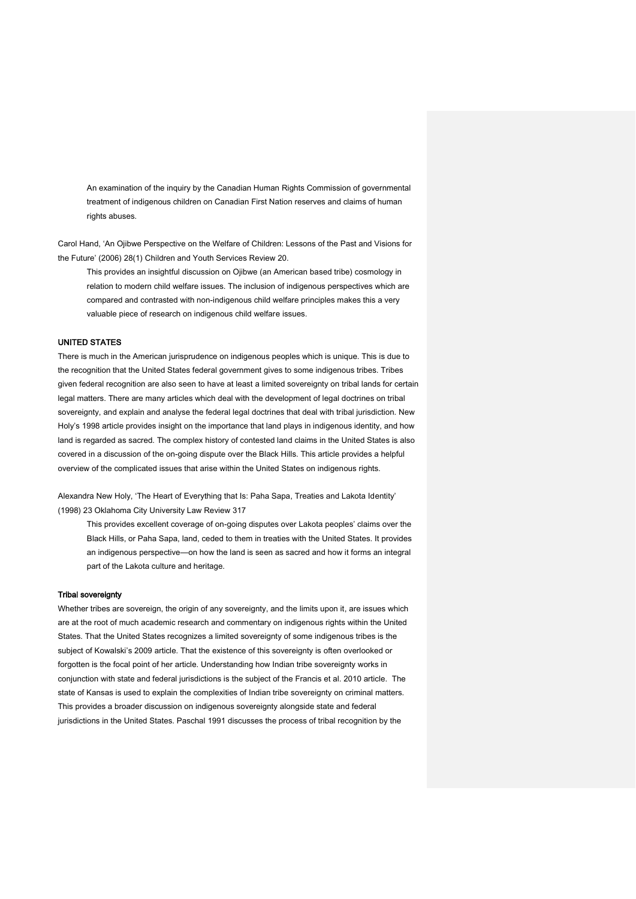An examination of the inquiry by the Canadian Human Rights Commission of governmental treatment of indigenous children on Canadian First Nation reserves and claims of human rights abuses.

Carol Hand, 'An Ojibwe Perspective on the Welfare of Children: Lessons of the Past and Visions for the Future' (2006) 28(1) Children and Youth Services Review 20.

This provides an insightful discussion on Ojibwe (an American based tribe) cosmology in relation to modern child welfare issues. The inclusion of indigenous perspectives which are compared and contrasted with non-indigenous child welfare principles makes this a very valuable piece of research on indigenous child welfare issues.

#### UNITED STATES

There is much in the American jurisprudence on indigenous peoples which is unique. This is due to the recognition that the United States federal government gives to some indigenous tribes. Tribes given federal recognition are also seen to have at least a limited sovereignty on tribal lands for certain legal matters. There are many articles which deal with the development of legal doctrines on tribal sovereignty, and explain and analyse the federal legal doctrines that deal with tribal jurisdiction. New Holy's 1998 article provides insight on the importance that land plays in indigenous identity, and how land is regarded as sacred. The complex history of contested land claims in the United States is also covered in a discussion of the on-going dispute over the Black Hills. This article provides a helpful overview of the complicated issues that arise within the United States on indigenous rights.

Alexandra New Holy, 'The Heart of Everything that Is: Paha Sapa, Treaties and Lakota Identity' (1998) 23 Oklahoma City University Law Review 317

This provides excellent coverage of on-going disputes over Lakota peoples' claims over the Black Hills, or Paha Sapa, land, ceded to them in treaties with the United States. It provides an indigenous perspective—on how the land is seen as sacred and how it forms an integral part of the Lakota culture and heritage.

#### Tribal sovereignty

Whether tribes are sovereign, the origin of any sovereignty, and the limits upon it, are issues which are at the root of much academic research and commentary on indigenous rights within the United States. That the United States recognizes a limited sovereignty of some indigenous tribes is the subject of Kowalski's 2009 article. That the existence of this sovereignty is often overlooked or forgotten is the focal point of her article. Understanding how Indian tribe sovereignty works in conjunction with state and federal jurisdictions is the subject of the Francis et al. 2010 article. The state of Kansas is used to explain the complexities of Indian tribe sovereignty on criminal matters. This provides a broader discussion on indigenous sovereignty alongside state and federal jurisdictions in the United States. Paschal 1991 discusses the process of tribal recognition by the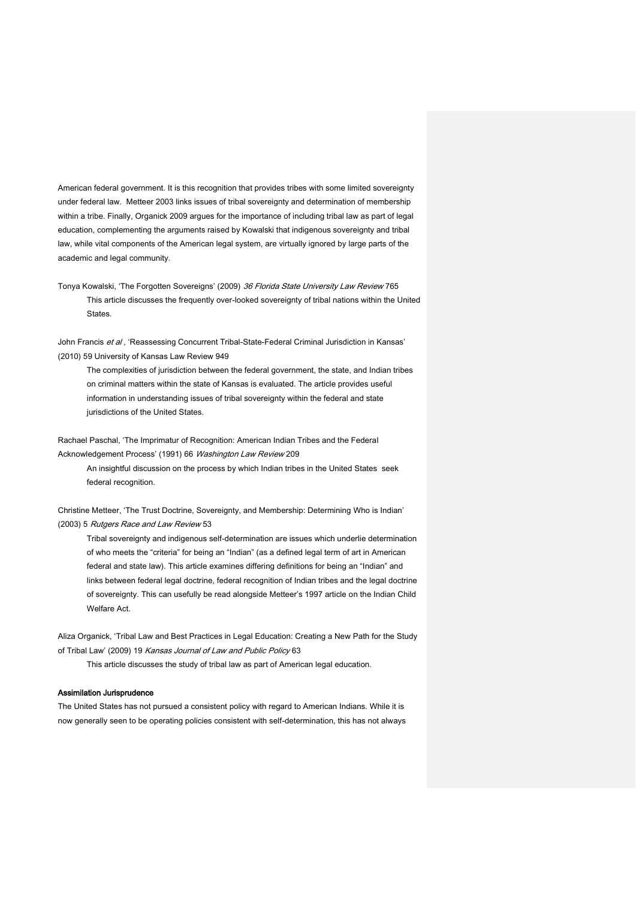American federal government. It is this recognition that provides tribes with some limited sovereignty under federal law. Metteer 2003 links issues of tribal sovereignty and determination of membership within a tribe. Finally, Organick 2009 argues for the importance of including tribal law as part of legal education, complementing the arguments raised by Kowalski that indigenous sovereignty and tribal law, while vital components of the American legal system, are virtually ignored by large parts of the academic and legal community.

Tonya Kowalski, 'The Forgotten Sovereigns' (2009) 36 Florida State University Law Review 765 This article discusses the frequently over-looked sovereignty of tribal nations within the United States.

John Francis et al, 'Reassessing Concurrent Tribal-State-Federal Criminal Jurisdiction in Kansas' (2010) 59 University of Kansas Law Review 949

The complexities of jurisdiction between the federal government, the state, and Indian tribes on criminal matters within the state of Kansas is evaluated. The article provides useful information in understanding issues of tribal sovereignty within the federal and state jurisdictions of the United States.

Rachael Paschal, 'The Imprimatur of Recognition: American Indian Tribes and the Federal Acknowledgement Process' (1991) 66 Washington Law Review 209

An insightful discussion on the process by which Indian tribes in the United States seek federal recognition.

Christine Metteer, 'The Trust Doctrine, Sovereignty, and Membership: Determining Who is Indian' (2003) 5 Rutgers Race and Law Review 53

Tribal sovereignty and indigenous self-determination are issues which underlie determination of who meets the "criteria" for being an "Indian" (as a defined legal term of art in American federal and state law). This article examines differing definitions for being an "Indian" and links between federal legal doctrine, federal recognition of Indian tribes and the legal doctrine of sovereignty. This can usefully be read alongside Metteer's 1997 article on the Indian Child Welfare Act.

Aliza Organick, 'Tribal Law and Best Practices in Legal Education: Creating a New Path for the Study of Tribal Law' (2009) 19 Kansas Journal of Law and Public Policy 63

This article discusses the study of tribal law as part of American legal education.

#### Assimilation Jurisprudence

The United States has not pursued a consistent policy with regard to American Indians. While it is now generally seen to be operating policies consistent with self-determination, this has not always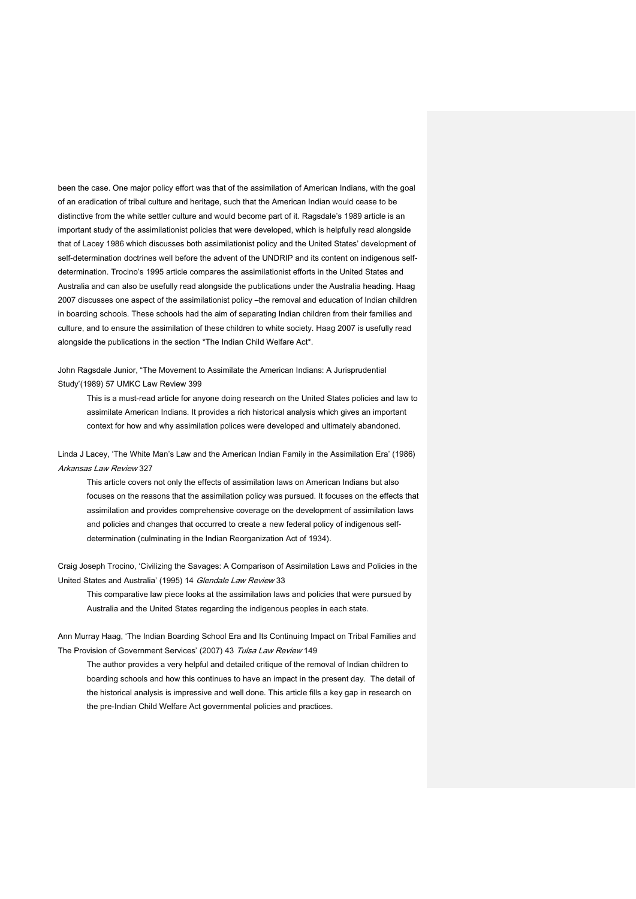been the case. One major policy effort was that of the assimilation of American Indians, with the goal of an eradication of tribal culture and heritage, such that the American Indian would cease to be distinctive from the white settler culture and would become part of it. Ragsdale's 1989 article is an important study of the assimilationist policies that were developed, which is helpfully read alongside that of Lacey 1986 which discusses both assimilationist policy and the United States' development of self-determination doctrines well before the advent of the UNDRIP and its content on indigenous selfdetermination. Trocino's 1995 article compares the assimilationist efforts in the United States and Australia and can also be usefully read alongside the publications under the Australia heading. Haag 2007 discusses one aspect of the assimilationist policy –the removal and education of Indian children in boarding schools. These schools had the aim of separating Indian children from their families and culture, and to ensure the assimilation of these children to white society. Haag 2007 is usefully read alongside the publications in the section \*The Indian Child Welfare Act\*.

John Ragsdale Junior, "The Movement to Assimilate the American Indians: A Jurisprudential Study'(1989) 57 UMKC Law Review 399

This is a must-read article for anyone doing research on the United States policies and law to assimilate American Indians. It provides a rich historical analysis which gives an important context for how and why assimilation polices were developed and ultimately abandoned.

Linda J Lacey, 'The White Man's Law and the American Indian Family in the Assimilation Era' (1986) Arkansas Law Review 327

This article covers not only the effects of assimilation laws on American Indians but also focuses on the reasons that the assimilation policy was pursued. It focuses on the effects that assimilation and provides comprehensive coverage on the development of assimilation laws and policies and changes that occurred to create a new federal policy of indigenous selfdetermination (culminating in the Indian Reorganization Act of 1934).

Craig Joseph Trocino, 'Civilizing the Savages: A Comparison of Assimilation Laws and Policies in the United States and Australia' (1995) 14 Glendale Law Review 33

This comparative law piece looks at the assimilation laws and policies that were pursued by Australia and the United States regarding the indigenous peoples in each state.

Ann Murray Haag, 'The Indian Boarding School Era and Its Continuing Impact on Tribal Families and The Provision of Government Services' (2007) 43 Tulsa Law Review 149

The author provides a very helpful and detailed critique of the removal of Indian children to boarding schools and how this continues to have an impact in the present day. The detail of the historical analysis is impressive and well done. This article fills a key gap in research on the pre-Indian Child Welfare Act governmental policies and practices.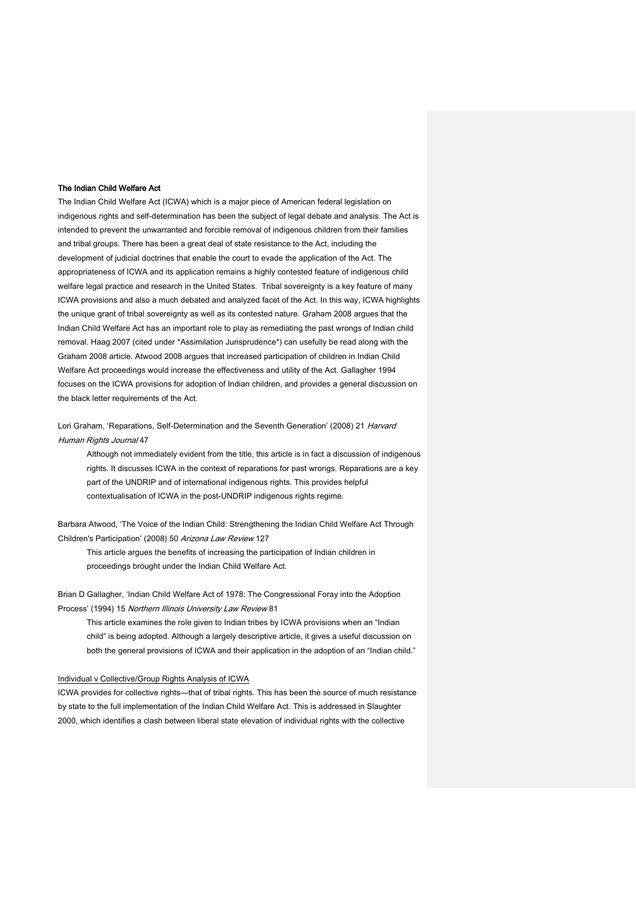#### The Indian Child Welfare Act

The Indian Child Welfare Act (ICWA) which is a major piece of American federal legislation on indigenous rights and self-determination has been the subject of legal debate and analysis. The Act is intended to prevent the unwarranted and forcible removal of indigenous children from their families and tribal groups. There has been a great deal of state resistance to the Act, including the development of judicial doctrines that enable the court to evade the application of the Act. The appropriateness of ICWA and its application remains a highly contested feature of indigenous child welfare legal practice and research in the United States. Tribal sovereignty is a key feature of many ICWA provisions and also a much debated and analyzed facet of the Act. In this way, ICWA highlights the unique grant of tribal sovereignty as well as its contested nature. Graham 2008 argues that the Indian Child Welfare Act has an important role to play as remediating the past wrongs of Indian child removal. Haag 2007 (cited under \*Assimilation Jurisprudence\*) can usefully be read along with the Graham 2008 article. Atwood 2008 argues that increased participation of children in Indian Child Welfare Act proceedings would increase the effectiveness and utility of the Act. Gallagher 1994 focuses on the ICWA provisions for adoption of Indian children, and provides a general discussion on the black letter requirements of the Act.

Lori Graham, 'Reparations, Self-Determination and the Seventh Generation' (2008) 21 Harvard Human Rights Journal 47

Although not immediately evident from the title, this article is in fact a discussion of indigenous rights. It discusses ICWA in the context of reparations for past wrongs. Reparations are a key part of the UNDRIP and of international indigenous rights. This provides helpful contextualisation of ICWA in the post-UNDRIP indigenous rights regime.

Barbara Atwood, 'The Voice of the Indian Child: Strengthening the Indian Child Welfare Act Through Children's Participation' (2008) 50 Arizona Law Review 127

This article argues the benefits of increasing the participation of Indian children in proceedings brought under the Indian Child Welfare Act.

Brian D Gallagher, 'Indian Child Welfare Act of 1978: The Congressional Foray into the Adoption Process' (1994) 15 Northern Illinois University Law Review 81

This article examines the role given to Indian tribes by ICWA provisions when an "Indian child" is being adopted. Although a largely descriptive article, it gives a useful discussion on both the general provisions of ICWA and their application in the adoption of an "Indian child."

#### Individual v Collective/Group Rights Analysis of ICWA

ICWA provides for collective rights—that of tribal rights. This has been the source of much resistance by state to the full implementation of the Indian Child Welfare Act. This is addressed in Slaughter 2000, which identifies a clash between liberal state elevation of individual rights with the collective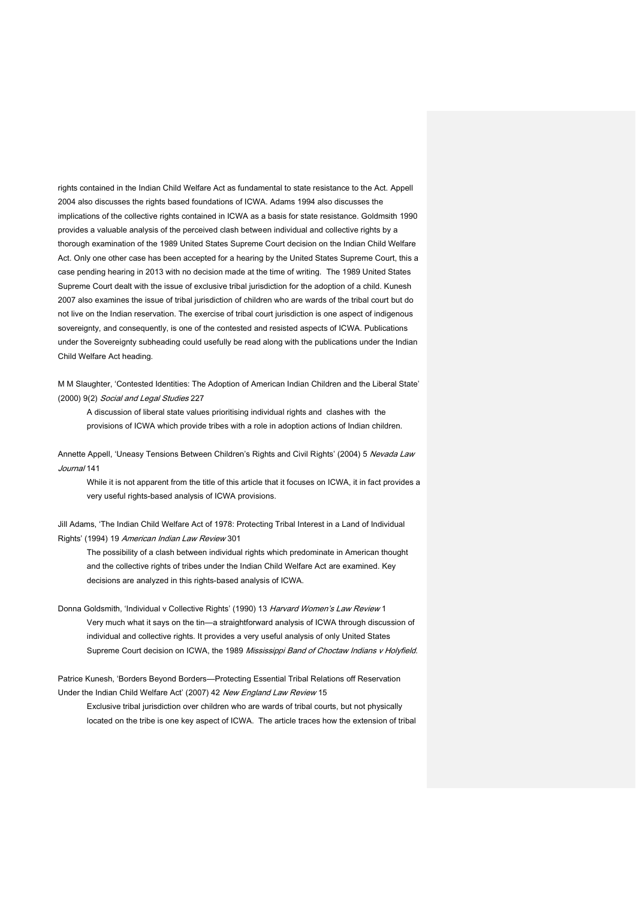rights contained in the Indian Child Welfare Act as fundamental to state resistance to the Act. Appell 2004 also discusses the rights based foundations of ICWA. Adams 1994 also discusses the implications of the collective rights contained in ICWA as a basis for state resistance. Goldmsith 1990 provides a valuable analysis of the perceived clash between individual and collective rights by a thorough examination of the 1989 United States Supreme Court decision on the Indian Child Welfare Act. Only one other case has been accepted for a hearing by the United States Supreme Court, this a case pending hearing in 2013 with no decision made at the time of writing. The 1989 United States Supreme Court dealt with the issue of exclusive tribal jurisdiction for the adoption of a child. Kunesh 2007 also examines the issue of tribal jurisdiction of children who are wards of the tribal court but do not live on the Indian reservation. The exercise of tribal court jurisdiction is one aspect of indigenous sovereignty, and consequently, is one of the contested and resisted aspects of ICWA. Publications under the Sovereignty subheading could usefully be read along with the publications under the Indian Child Welfare Act heading.

M M Slaughter, 'Contested Identities: The Adoption of American Indian Children and the Liberal State' (2000) 9(2) Social and Legal Studies 227

A discussion of liberal state values prioritising individual rights and clashes with the provisions of ICWA which provide tribes with a role in adoption actions of Indian children.

Annette Appell, 'Uneasy Tensions Between Children's Rights and Civil Rights' (2004) 5 Nevada Law Journal 141

While it is not apparent from the title of this article that it focuses on ICWA, it in fact provides a very useful rights-based analysis of ICWA provisions.

Jill Adams, 'The Indian Child Welfare Act of 1978: Protecting Tribal Interest in a Land of Individual Rights' (1994) 19 American Indian Law Review 301

The possibility of a clash between individual rights which predominate in American thought and the collective rights of tribes under the Indian Child Welfare Act are examined. Key decisions are analyzed in this rights-based analysis of ICWA.

Donna Goldsmith, 'Individual v Collective Rights' (1990) 13 Harvard Women's Law Review 1 Very much what it says on the tin—a straightforward analysis of ICWA through discussion of individual and collective rights. It provides a very useful analysis of only United States Supreme Court decision on ICWA, the 1989 Mississippi Band of Choctaw Indians v Holyfield.

Patrice Kunesh, 'Borders Beyond Borders—Protecting Essential Tribal Relations off Reservation Under the Indian Child Welfare Act' (2007) 42 New England Law Review 15

Exclusive tribal jurisdiction over children who are wards of tribal courts, but not physically located on the tribe is one key aspect of ICWA. The article traces how the extension of tribal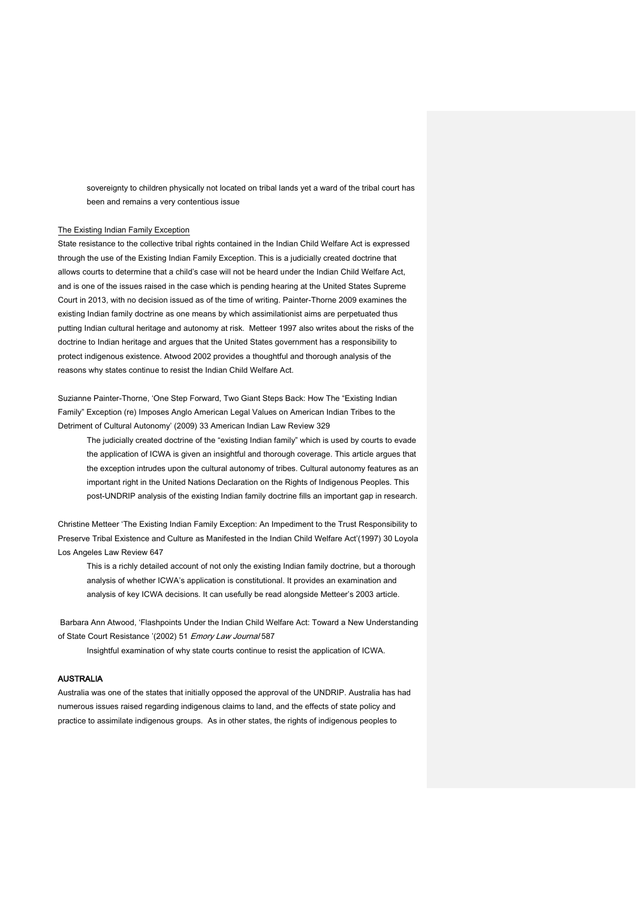sovereignty to children physically not located on tribal lands yet a ward of the tribal court has been and remains a very contentious issue

#### The Existing Indian Family Exception

State resistance to the collective tribal rights contained in the Indian Child Welfare Act is expressed through the use of the Existing Indian Family Exception. This is a judicially created doctrine that allows courts to determine that a child's case will not be heard under the Indian Child Welfare Act, and is one of the issues raised in the case which is pending hearing at the United States Supreme Court in 2013, with no decision issued as of the time of writing. Painter-Thorne 2009 examines the existing Indian family doctrine as one means by which assimilationist aims are perpetuated thus putting Indian cultural heritage and autonomy at risk. Metteer 1997 also writes about the risks of the doctrine to Indian heritage and argues that the United States government has a responsibility to protect indigenous existence. Atwood 2002 provides a thoughtful and thorough analysis of the reasons why states continue to resist the Indian Child Welfare Act.

Suzianne Painter-Thorne, 'One Step Forward, Two Giant Steps Back: How The "Existing Indian Family" Exception (re) Imposes Anglo American Legal Values on American Indian Tribes to the Detriment of Cultural Autonomy' (2009) 33 American Indian Law Review 329

The judicially created doctrine of the "existing Indian family" which is used by courts to evade the application of ICWA is given an insightful and thorough coverage. This article argues that the exception intrudes upon the cultural autonomy of tribes. Cultural autonomy features as an important right in the United Nations Declaration on the Rights of Indigenous Peoples. This post-UNDRIP analysis of the existing Indian family doctrine fills an important gap in research.

Christine Metteer 'The Existing Indian Family Exception: An Impediment to the Trust Responsibility to Preserve Tribal Existence and Culture as Manifested in the Indian Child Welfare Act'(1997) 30 Loyola Los Angeles Law Review 647

This is a richly detailed account of not only the existing Indian family doctrine, but a thorough analysis of whether ICWA's application is constitutional. It provides an examination and analysis of key ICWA decisions. It can usefully be read alongside Metteer's 2003 article.

Barbara Ann Atwood, 'Flashpoints Under the Indian Child Welfare Act: Toward a New Understanding of State Court Resistance '(2002) 51 Emory Law Journal 587

Insightful examination of why state courts continue to resist the application of ICWA.

## AUSTRALIA

Australia was one of the states that initially opposed the approval of the UNDRIP. Australia has had numerous issues raised regarding indigenous claims to land, and the effects of state policy and practice to assimilate indigenous groups. As in other states, the rights of indigenous peoples to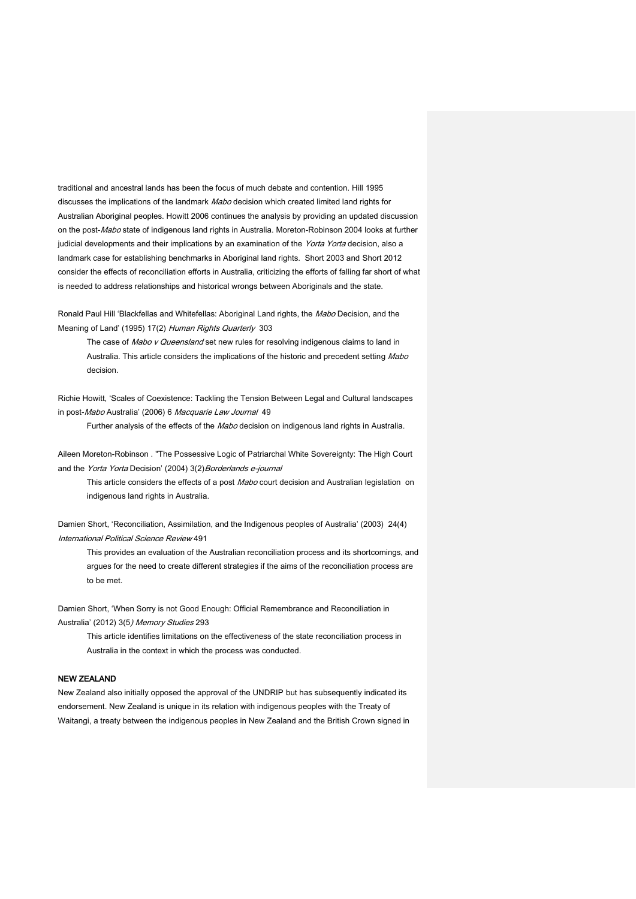traditional and ancestral lands has been the focus of much debate and contention. Hill 1995 discusses the implications of the landmark Mabo decision which created limited land rights for Australian Aboriginal peoples. Howitt 2006 continues the analysis by providing an updated discussion on the post-Mabo state of indigenous land rights in Australia. Moreton-Robinson 2004 looks at further judicial developments and their implications by an examination of the Yorta Yorta decision, also a landmark case for establishing benchmarks in Aboriginal land rights. Short 2003 and Short 2012 consider the effects of reconciliation efforts in Australia, criticizing the efforts of falling far short of what is needed to address relationships and historical wrongs between Aboriginals and the state.

Ronald Paul Hill 'Blackfellas and Whitefellas: Aboriginal Land rights, the Mabo Decision, and the Meaning of Land' (1995) 17(2) Human Rights Quarterly 303

The case of Mabo v Queensland set new rules for resolving indigenous claims to land in Australia. This article considers the implications of the historic and precedent setting Mabo decision.

Richie Howitt, 'Scales of Coexistence: Tackling the Tension Between Legal and Cultural landscapes in post-Mabo Australia' (2006) 6 Macquarie Law Journal 49

Further analysis of the effects of the Mabo decision on indigenous land rights in Australia.

Aileen Moreton-Robinson . "The Possessive Logic of Patriarchal White Sovereignty: The High Court and the Yorta Yorta Decision' (2004) 3(2) Borderlands e-journal

This article considers the effects of a post Mabo court decision and Australian legislation on indigenous land rights in Australia.

Damien Short, 'Reconciliation, Assimilation, and the Indigenous peoples of Australia' (2003) 24(4) International Political Science Review 491

This provides an evaluation of the Australian reconciliation process and its shortcomings, and argues for the need to create different strategies if the aims of the reconciliation process are to be met.

Damien Short, 'When Sorry is not Good Enough: Official Remembrance and Reconciliation in Australia' (2012) 3(5) Memory Studies 293

This article identifies limitations on the effectiveness of the state reconciliation process in Australia in the context in which the process was conducted.

## NEW ZEALAND

New Zealand also initially opposed the approval of the UNDRIP but has subsequently indicated its endorsement. New Zealand is unique in its relation with indigenous peoples with the Treaty of Waitangi, a treaty between the indigenous peoples in New Zealand and the British Crown signed in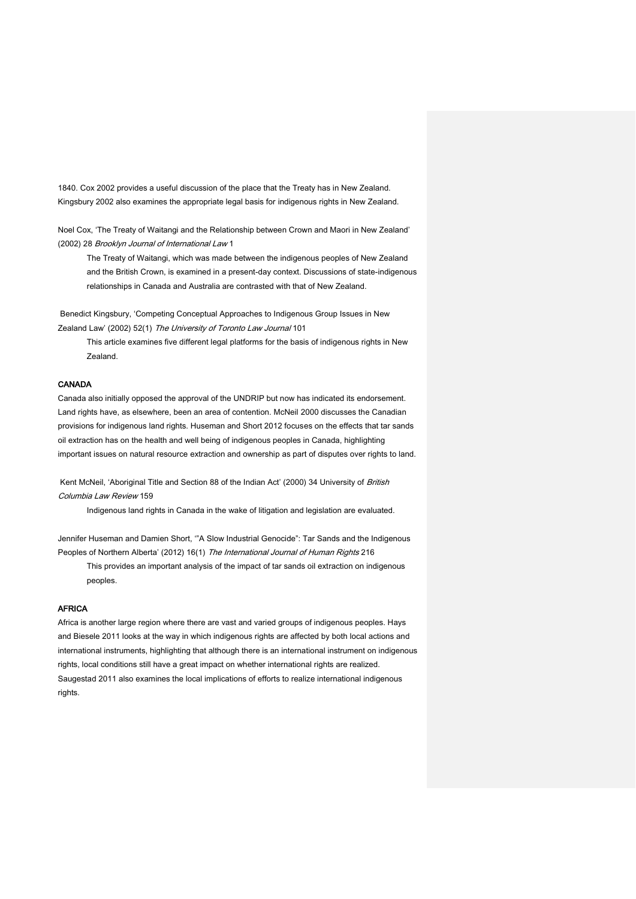1840. Cox 2002 provides a useful discussion of the place that the Treaty has in New Zealand. Kingsbury 2002 also examines the appropriate legal basis for indigenous rights in New Zealand.

Noel Cox, 'The Treaty of Waitangi and the Relationship between Crown and Maori in New Zealand' (2002) 28 Brooklyn Journal of International Law 1

The Treaty of Waitangi, which was made between the indigenous peoples of New Zealand and the British Crown, is examined in a present-day context. Discussions of state-indigenous relationships in Canada and Australia are contrasted with that of New Zealand.

Benedict Kingsbury, 'Competing Conceptual Approaches to Indigenous Group Issues in New Zealand Law' (2002) 52(1) The University of Toronto Law Journal 101

This article examines five different legal platforms for the basis of indigenous rights in New Zealand.

### CANADA

Canada also initially opposed the approval of the UNDRIP but now has indicated its endorsement. Land rights have, as elsewhere, been an area of contention. McNeil 2000 discusses the Canadian provisions for indigenous land rights. Huseman and Short 2012 focuses on the effects that tar sands oil extraction has on the health and well being of indigenous peoples in Canada, highlighting important issues on natural resource extraction and ownership as part of disputes over rights to land.

Kent McNeil, 'Aboriginal Title and Section 88 of the Indian Act' (2000) 34 University of British Columbia Law Review 159

Indigenous land rights in Canada in the wake of litigation and legislation are evaluated.

Jennifer Huseman and Damien Short, '"A Slow Industrial Genocide": Tar Sands and the Indigenous Peoples of Northern Alberta' (2012) 16(1) The International Journal of Human Rights 216

This provides an important analysis of the impact of tar sands oil extraction on indigenous peoples.

# AFRICA

Africa is another large region where there are vast and varied groups of indigenous peoples. Hays and Biesele 2011 looks at the way in which indigenous rights are affected by both local actions and international instruments, highlighting that although there is an international instrument on indigenous rights, local conditions still have a great impact on whether international rights are realized. Saugestad 2011 also examines the local implications of efforts to realize international indigenous rights.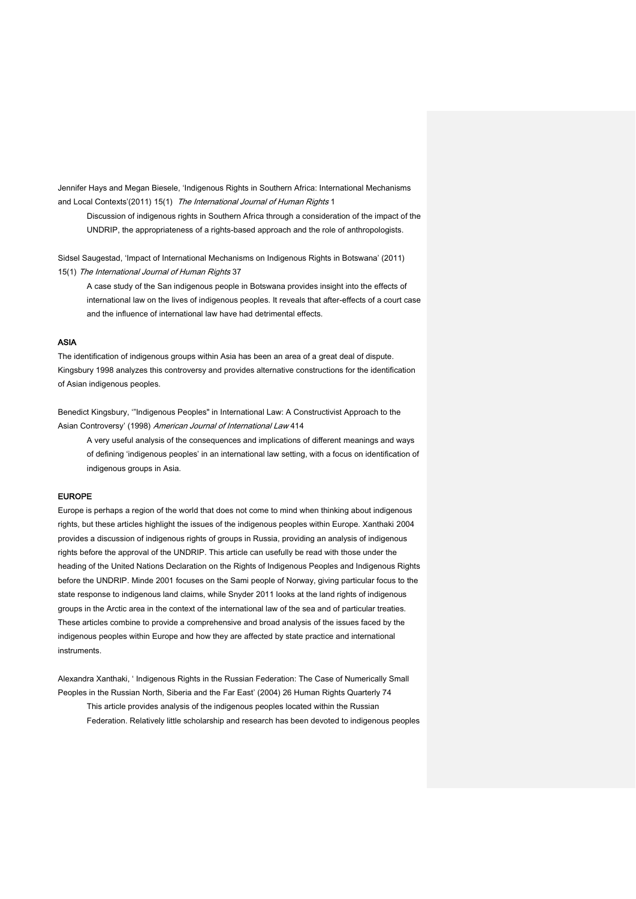Jennifer Hays and Megan Biesele, 'Indigenous Rights in Southern Africa: International Mechanisms and Local Contexts'(2011) 15(1) The International Journal of Human Rights 1

Discussion of indigenous rights in Southern Africa through a consideration of the impact of the UNDRIP, the appropriateness of a rights-based approach and the role of anthropologists.

Sidsel Saugestad, 'Impact of International Mechanisms on Indigenous Rights in Botswana' (2011) 15(1) The International Journal of Human Rights 37

A case study of the San indigenous people in Botswana provides insight into the effects of international law on the lives of indigenous peoples. It reveals that after-effects of a court case and the influence of international law have had detrimental effects.

#### ASIA

The identification of indigenous groups within Asia has been an area of a great deal of dispute. Kingsbury 1998 analyzes this controversy and provides alternative constructions for the identification of Asian indigenous peoples.

Benedict Kingsbury, '"Indigenous Peoples" in International Law: A Constructivist Approach to the Asian Controversy' (1998) American Journal of International Law 414

A very useful analysis of the consequences and implications of different meanings and ways of defining 'indigenous peoples' in an international law setting, with a focus on identification of indigenous groups in Asia.

#### EUROPE

Europe is perhaps a region of the world that does not come to mind when thinking about indigenous rights, but these articles highlight the issues of the indigenous peoples within Europe. Xanthaki 2004 provides a discussion of indigenous rights of groups in Russia, providing an analysis of indigenous rights before the approval of the UNDRIP. This article can usefully be read with those under the heading of the United Nations Declaration on the Rights of Indigenous Peoples and Indigenous Rights before the UNDRIP. Minde 2001 focuses on the Sami people of Norway, giving particular focus to the state response to indigenous land claims, while Snyder 2011 looks at the land rights of indigenous groups in the Arctic area in the context of the international law of the sea and of particular treaties. These articles combine to provide a comprehensive and broad analysis of the issues faced by the indigenous peoples within Europe and how they are affected by state practice and international instruments.

Alexandra Xanthaki, ' Indigenous Rights in the Russian Federation: The Case of Numerically Small Peoples in the Russian North, Siberia and the Far East' (2004) 26 Human Rights Quarterly 74 This article provides analysis of the indigenous peoples located within the Russian Federation. Relatively little scholarship and research has been devoted to indigenous peoples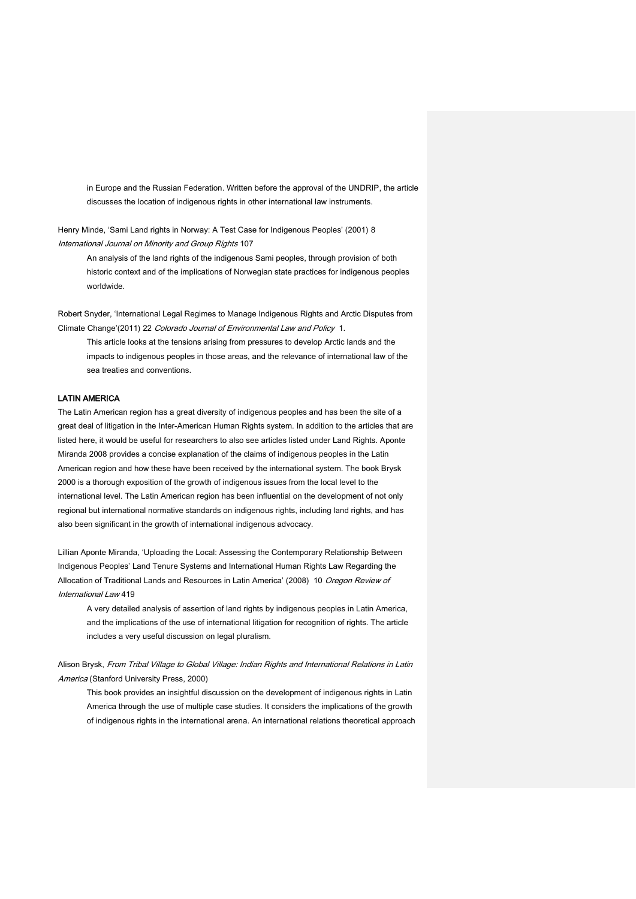in Europe and the Russian Federation. Written before the approval of the UNDRIP, the article discusses the location of indigenous rights in other international law instruments.

Henry Minde, 'Sami Land rights in Norway: A Test Case for Indigenous Peoples' (2001) 8 International Journal on Minority and Group Rights 107

An analysis of the land rights of the indigenous Sami peoples, through provision of both historic context and of the implications of Norwegian state practices for indigenous peoples worldwide.

Robert Snyder, 'International Legal Regimes to Manage Indigenous Rights and Arctic Disputes from Climate Change'(2011) 22 Colorado Journal of Environmental Law and Policy 1.

This article looks at the tensions arising from pressures to develop Arctic lands and the impacts to indigenous peoples in those areas, and the relevance of international law of the sea treaties and conventions.

## LATIN AMERICA

The Latin American region has a great diversity of indigenous peoples and has been the site of a great deal of litigation in the Inter-American Human Rights system. In addition to the articles that are listed here, it would be useful for researchers to also see articles listed under Land Rights. Aponte Miranda 2008 provides a concise explanation of the claims of indigenous peoples in the Latin American region and how these have been received by the international system. The book Brysk 2000 is a thorough exposition of the growth of indigenous issues from the local level to the international level. The Latin American region has been influential on the development of not only regional but international normative standards on indigenous rights, including land rights, and has also been significant in the growth of international indigenous advocacy.

Lillian Aponte Miranda, 'Uploading the Local: Assessing the Contemporary Relationship Between Indigenous Peoples' Land Tenure Systems and International Human Rights Law Regarding the Allocation of Traditional Lands and Resources in Latin America' (2008) 10 Oregon Review of International Law 419

A very detailed analysis of assertion of land rights by indigenous peoples in Latin America, and the implications of the use of international litigation for recognition of rights. The article includes a very useful discussion on legal pluralism.

Alison Brysk, From Tribal Village to Global Village: Indian Rights and International Relations in Latin America (Stanford University Press, 2000)

This book provides an insightful discussion on the development of indigenous rights in Latin America through the use of multiple case studies. It considers the implications of the growth of indigenous rights in the international arena. An international relations theoretical approach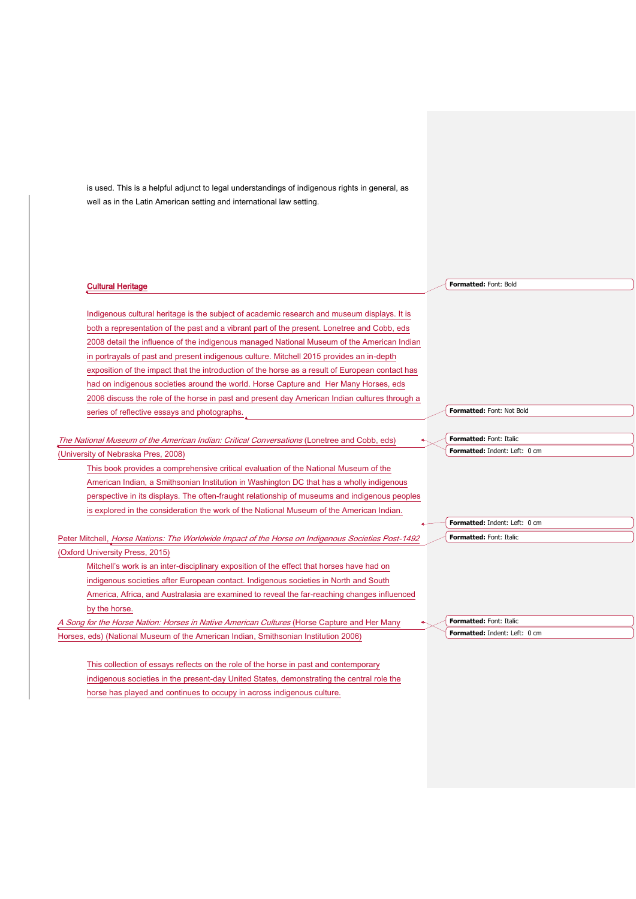is used. This is a helpful adjunct to legal understandings of indigenous rights in general, as well as in the Latin American setting and international law setting.

#### Cultural Heritage

Indigenous cultural heritage is the subject of academic research and museum displays. It is both a representation of the past and a vibrant part of the present. Lonetree and Cobb, eds 2008 detail the influence of the indigenous managed National Museum of the American Indian in portrayals of past and present indigenous culture. Mitchell 2015 provides an in-depth exposition of the impact that the introduction of the horse as a result of European contact has had on indigenous societies around the world. Horse Capture and Her Many Horses, eds 2006 discuss the role of the horse in past and present day American Indian cultures through a series of reflective essays and photographs.

The National Museum of the American Indian: Critical Conversations (Lonetree and Cobb, eds) (University of Nebraska Pres, 2008)

This book provides a comprehensive critical evaluation of the National Museum of the American Indian, a Smithsonian Institution in Washington DC that has a wholly indigenous perspective in its displays. The often-fraught relationship of museums and indigenous peoples is explored in the consideration the work of the National Museum of the American Indian.

Peter Mitchell, Horse Nations: The Worldwide Impact of the Horse on Indigenous Societies Post-1492 (Oxford University Press, 2015)

Mitchell's work is an inter-disciplinary exposition of the effect that horses have had on indigenous societies after European contact. Indigenous societies in North and South America, Africa, and Australasia are examined to reveal the far-reaching changes influenced by the horse.

A Song for the Horse Nation: Horses in Native American Cultures (Horse Capture and Her Many Horses, eds) (National Museum of the American Indian, Smithsonian Institution 2006)

This collection of essays reflects on the role of the horse in past and contemporary indigenous societies in the present-day United States, demonstrating the central role the horse has played and continues to occupy in across indigenous culture.

**Formatted:** Font: Bold

**Formatted:** Font: Not Bold

**Formatted:** Font: Italic **Formatted:** Indent: Left: 0 cm

**Formatted:** Indent: Left: 0 cm **Formatted:** Font: Italic

**Formatted:** Font: Italic **Formatted:** Indent: Left: 0 cm